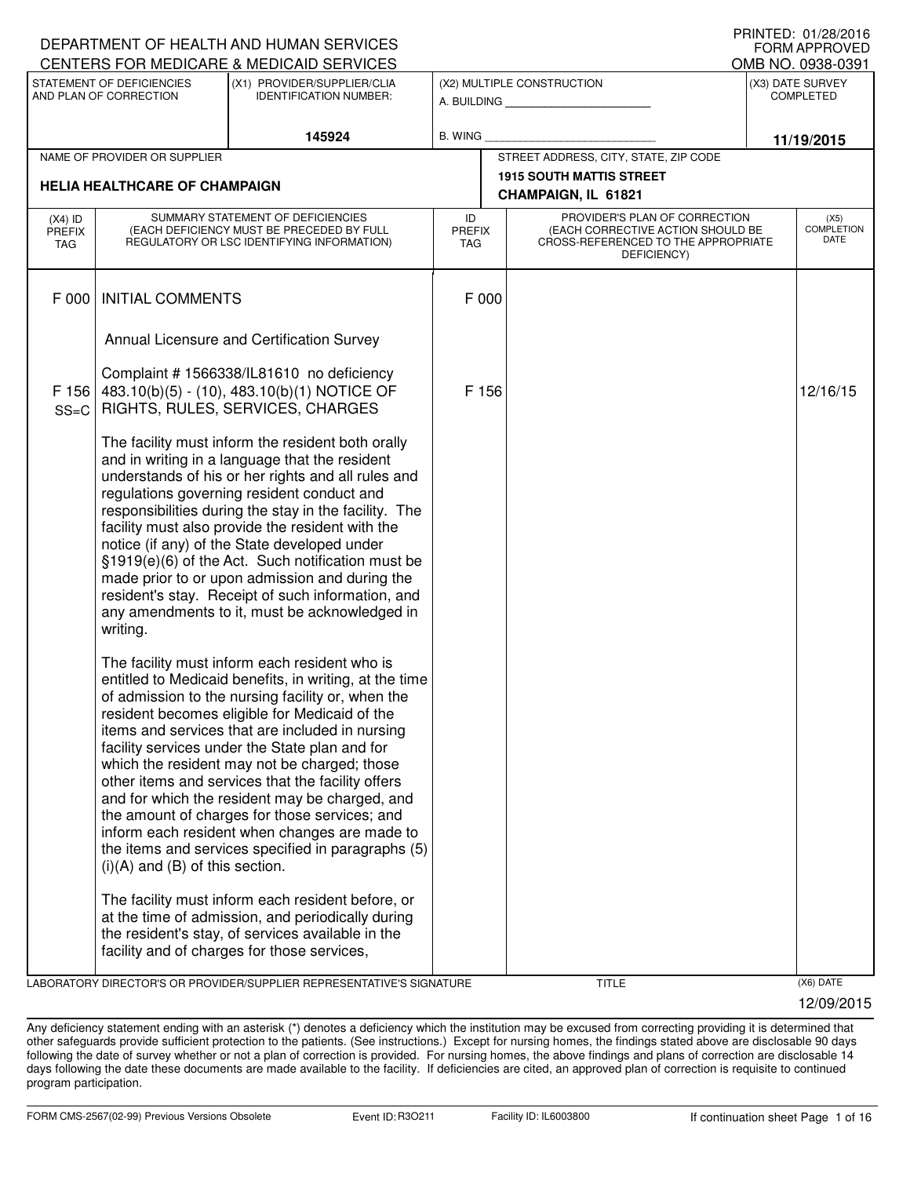|                            |                                                     | DEPARTMENT OF HEALTH AND HUMAN SERVICES                                                                                                                                                                                                                                                                                                                                                                                                                                                                                                                                                                                           |                     |                                                                                                                          | <b>FORM APPROVED</b>                     |
|----------------------------|-----------------------------------------------------|-----------------------------------------------------------------------------------------------------------------------------------------------------------------------------------------------------------------------------------------------------------------------------------------------------------------------------------------------------------------------------------------------------------------------------------------------------------------------------------------------------------------------------------------------------------------------------------------------------------------------------------|---------------------|--------------------------------------------------------------------------------------------------------------------------|------------------------------------------|
|                            |                                                     | CENTERS FOR MEDICARE & MEDICAID SERVICES                                                                                                                                                                                                                                                                                                                                                                                                                                                                                                                                                                                          |                     |                                                                                                                          | OMB NO. 0938-0391                        |
|                            | STATEMENT OF DEFICIENCIES<br>AND PLAN OF CORRECTION | (X1) PROVIDER/SUPPLIER/CLIA<br><b>IDENTIFICATION NUMBER:</b>                                                                                                                                                                                                                                                                                                                                                                                                                                                                                                                                                                      |                     | (X2) MULTIPLE CONSTRUCTION<br>A. BUILDING AND AN INCOME.                                                                 | (X3) DATE SURVEY<br><b>COMPLETED</b>     |
|                            |                                                     | 145924                                                                                                                                                                                                                                                                                                                                                                                                                                                                                                                                                                                                                            | B. WING             |                                                                                                                          | 11/19/2015                               |
|                            | NAME OF PROVIDER OR SUPPLIER                        |                                                                                                                                                                                                                                                                                                                                                                                                                                                                                                                                                                                                                                   |                     | STREET ADDRESS, CITY, STATE, ZIP CODE                                                                                    |                                          |
|                            | <b>HELIA HEALTHCARE OF CHAMPAIGN</b>                |                                                                                                                                                                                                                                                                                                                                                                                                                                                                                                                                                                                                                                   |                     | <b>1915 SOUTH MATTIS STREET</b><br>CHAMPAIGN, IL 61821                                                                   |                                          |
| $(X4)$ ID<br>PREFIX<br>TAG |                                                     | SUMMARY STATEMENT OF DEFICIENCIES<br>(EACH DEFICIENCY MUST BE PRECEDED BY FULL<br>REGULATORY OR LSC IDENTIFYING INFORMATION)                                                                                                                                                                                                                                                                                                                                                                                                                                                                                                      | ID<br>PREFIX<br>TAG | PROVIDER'S PLAN OF CORRECTION<br>(EACH CORRECTIVE ACTION SHOULD BE<br>CROSS-REFERENCED TO THE APPROPRIATE<br>DEFICIENCY) | (X5)<br><b>COMPLETION</b><br><b>DATE</b> |
| F 000                      | <b>INITIAL COMMENTS</b>                             |                                                                                                                                                                                                                                                                                                                                                                                                                                                                                                                                                                                                                                   | F 000               |                                                                                                                          |                                          |
|                            |                                                     | Annual Licensure and Certification Survey                                                                                                                                                                                                                                                                                                                                                                                                                                                                                                                                                                                         |                     |                                                                                                                          |                                          |
| F 156<br>$SS=C$            |                                                     | Complaint # 1566338/IL81610 no deficiency<br>483.10(b)(5) - (10), 483.10(b)(1) NOTICE OF<br>RIGHTS, RULES, SERVICES, CHARGES                                                                                                                                                                                                                                                                                                                                                                                                                                                                                                      | F 156               |                                                                                                                          | 12/16/15                                 |
|                            | writing.                                            | The facility must inform the resident both orally<br>and in writing in a language that the resident<br>understands of his or her rights and all rules and<br>regulations governing resident conduct and<br>responsibilities during the stay in the facility. The<br>facility must also provide the resident with the<br>notice (if any) of the State developed under<br>§1919(e)(6) of the Act. Such notification must be<br>made prior to or upon admission and during the<br>resident's stay. Receipt of such information, and<br>any amendments to it, must be acknowledged in                                                 |                     |                                                                                                                          |                                          |
|                            | $(i)(A)$ and $(B)$ of this section.                 | The facility must inform each resident who is<br>entitled to Medicaid benefits, in writing, at the time<br>of admission to the nursing facility or, when the<br>resident becomes eligible for Medicaid of the<br>items and services that are included in nursing<br>facility services under the State plan and for<br>which the resident may not be charged; those<br>other items and services that the facility offers<br>and for which the resident may be charged, and<br>the amount of charges for those services; and<br>inform each resident when changes are made to<br>the items and services specified in paragraphs (5) |                     |                                                                                                                          |                                          |
|                            |                                                     | The facility must inform each resident before, or<br>at the time of admission, and periodically during<br>the resident's stay, of services available in the<br>facility and of charges for those services,                                                                                                                                                                                                                                                                                                                                                                                                                        |                     |                                                                                                                          |                                          |

LABORATORY DIRECTOR'S OR PROVIDER/SUPPLIER REPRESENTATIVE'S SIGNATURE TITLE (X6) DATE

12/09/2015

PRINTED: 01/28/2016  $\overline{O}$  $\overline{O}$  $\overline{O}$ 

Any deficiency statement ending with an asterisk (\*) denotes a deficiency which the institution may be excused from correcting providing it is determined that other safeguards provide sufficient protection to the patients. (See instructions.) Except for nursing homes, the findings stated above are disclosable 90 days following the date of survey whether or not a plan of correction is provided. For nursing homes, the above findings and plans of correction are disclosable 14 days following the date these documents are made available to the facility. If deficiencies are cited, an approved plan of correction is requisite to continued program participation.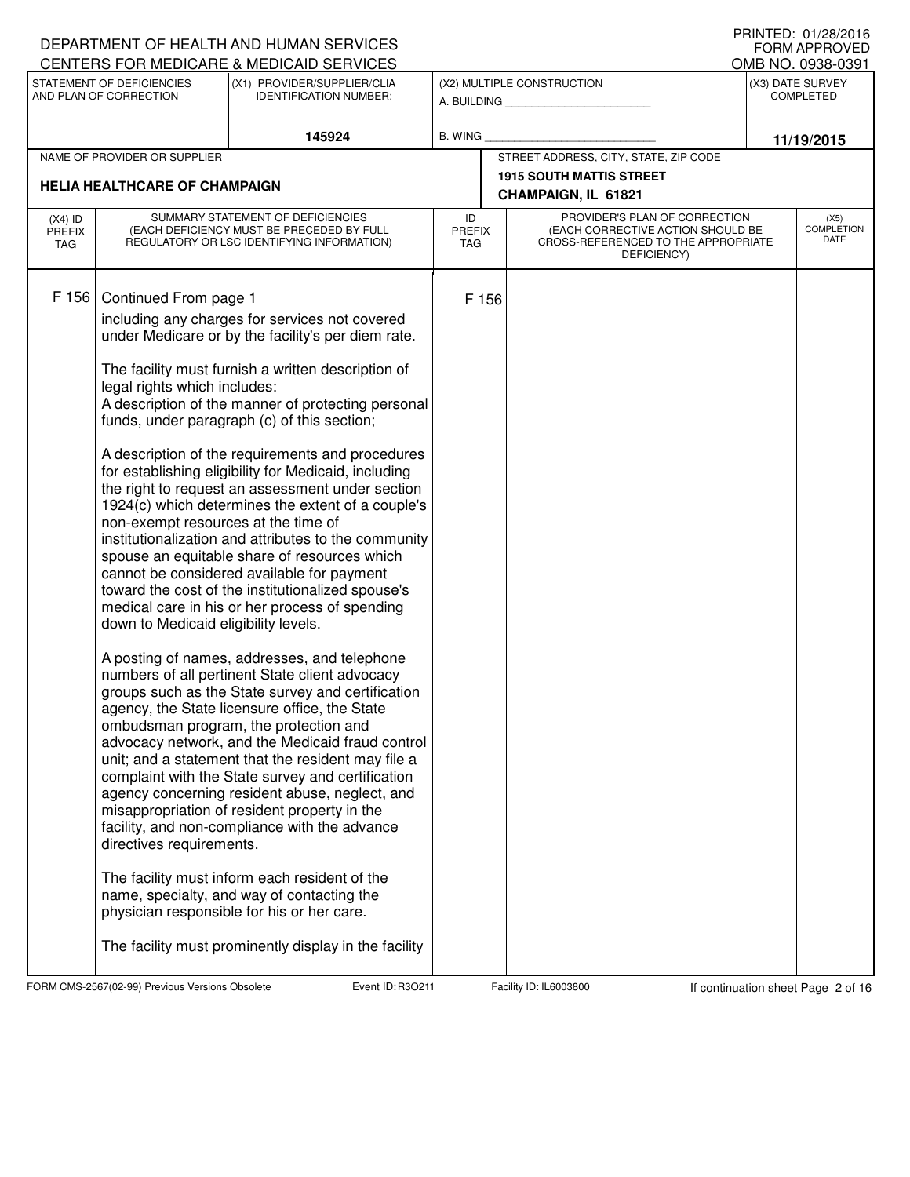|                                   |                                                                                                                                                                  | DEPARTMENT OF HEALTH AND HUMAN SERVICES                                                                                                                                                                                                                                                                                                                                                                                                                                                                                                                                                                                                                                                                                                                                                                                                                                                                                                                                                                                                                                                                                                                                                                                                                                                                                                                                                                                                                           |                            |       |                                                                                                                          | FORM APPROVED                        |
|-----------------------------------|------------------------------------------------------------------------------------------------------------------------------------------------------------------|-------------------------------------------------------------------------------------------------------------------------------------------------------------------------------------------------------------------------------------------------------------------------------------------------------------------------------------------------------------------------------------------------------------------------------------------------------------------------------------------------------------------------------------------------------------------------------------------------------------------------------------------------------------------------------------------------------------------------------------------------------------------------------------------------------------------------------------------------------------------------------------------------------------------------------------------------------------------------------------------------------------------------------------------------------------------------------------------------------------------------------------------------------------------------------------------------------------------------------------------------------------------------------------------------------------------------------------------------------------------------------------------------------------------------------------------------------------------|----------------------------|-------|--------------------------------------------------------------------------------------------------------------------------|--------------------------------------|
|                                   |                                                                                                                                                                  | CENTERS FOR MEDICARE & MEDICAID SERVICES                                                                                                                                                                                                                                                                                                                                                                                                                                                                                                                                                                                                                                                                                                                                                                                                                                                                                                                                                                                                                                                                                                                                                                                                                                                                                                                                                                                                                          |                            |       |                                                                                                                          | OMB NO. 0938-0391                    |
|                                   | STATEMENT OF DEFICIENCIES<br>AND PLAN OF CORRECTION                                                                                                              | (X1) PROVIDER/SUPPLIER/CLIA<br><b>IDENTIFICATION NUMBER:</b>                                                                                                                                                                                                                                                                                                                                                                                                                                                                                                                                                                                                                                                                                                                                                                                                                                                                                                                                                                                                                                                                                                                                                                                                                                                                                                                                                                                                      |                            |       | (X2) MULTIPLE CONSTRUCTION<br>A. BUILDING                                                                                | (X3) DATE SURVEY<br><b>COMPLETED</b> |
|                                   |                                                                                                                                                                  | 145924                                                                                                                                                                                                                                                                                                                                                                                                                                                                                                                                                                                                                                                                                                                                                                                                                                                                                                                                                                                                                                                                                                                                                                                                                                                                                                                                                                                                                                                            | B. WING                    |       |                                                                                                                          | 11/19/2015                           |
|                                   | NAME OF PROVIDER OR SUPPLIER                                                                                                                                     |                                                                                                                                                                                                                                                                                                                                                                                                                                                                                                                                                                                                                                                                                                                                                                                                                                                                                                                                                                                                                                                                                                                                                                                                                                                                                                                                                                                                                                                                   |                            |       | STREET ADDRESS, CITY, STATE, ZIP CODE                                                                                    |                                      |
|                                   | <b>HELIA HEALTHCARE OF CHAMPAIGN</b>                                                                                                                             |                                                                                                                                                                                                                                                                                                                                                                                                                                                                                                                                                                                                                                                                                                                                                                                                                                                                                                                                                                                                                                                                                                                                                                                                                                                                                                                                                                                                                                                                   |                            |       | <b>1915 SOUTH MATTIS STREET</b><br>CHAMPAIGN, IL 61821                                                                   |                                      |
| $(X4)$ ID<br><b>PREFIX</b><br>TAG |                                                                                                                                                                  | SUMMARY STATEMENT OF DEFICIENCIES<br>(EACH DEFICIENCY MUST BE PRECEDED BY FULL<br>REGULATORY OR LSC IDENTIFYING INFORMATION)                                                                                                                                                                                                                                                                                                                                                                                                                                                                                                                                                                                                                                                                                                                                                                                                                                                                                                                                                                                                                                                                                                                                                                                                                                                                                                                                      | ID<br><b>PREFIX</b><br>TAG |       | PROVIDER'S PLAN OF CORRECTION<br>(EACH CORRECTIVE ACTION SHOULD BE<br>CROSS-REFERENCED TO THE APPROPRIATE<br>DEFICIENCY) | (X5)<br><b>COMPLETION</b><br>DATE    |
| F 156                             | Continued From page 1<br>legal rights which includes:<br>non-exempt resources at the time of<br>down to Medicaid eligibility levels.<br>directives requirements. | including any charges for services not covered<br>under Medicare or by the facility's per diem rate.<br>The facility must furnish a written description of<br>A description of the manner of protecting personal<br>funds, under paragraph (c) of this section;<br>A description of the requirements and procedures<br>for establishing eligibility for Medicaid, including<br>the right to request an assessment under section<br>1924(c) which determines the extent of a couple's<br>institutionalization and attributes to the community<br>spouse an equitable share of resources which<br>cannot be considered available for payment<br>toward the cost of the institutionalized spouse's<br>medical care in his or her process of spending<br>A posting of names, addresses, and telephone<br>numbers of all pertinent State client advocacy<br>groups such as the State survey and certification<br>agency, the State licensure office, the State<br>ombudsman program, the protection and<br>advocacy network, and the Medicaid fraud control<br>unit; and a statement that the resident may file a<br>complaint with the State survey and certification<br>agency concerning resident abuse, neglect, and<br>misappropriation of resident property in the<br>facility, and non-compliance with the advance<br>The facility must inform each resident of the<br>name, specialty, and way of contacting the<br>physician responsible for his or her care. |                            | F 156 |                                                                                                                          |                                      |
|                                   |                                                                                                                                                                  | The facility must prominently display in the facility                                                                                                                                                                                                                                                                                                                                                                                                                                                                                                                                                                                                                                                                                                                                                                                                                                                                                                                                                                                                                                                                                                                                                                                                                                                                                                                                                                                                             |                            |       |                                                                                                                          |                                      |

FORM CMS-2567(02-99) Previous Versions Obsolete Event ID: R3O211 Facility ID: IL6003800 If continuation sheet Page 2 of 16

DEPARTMENT OF HEALTH AND HUMAN SERVICES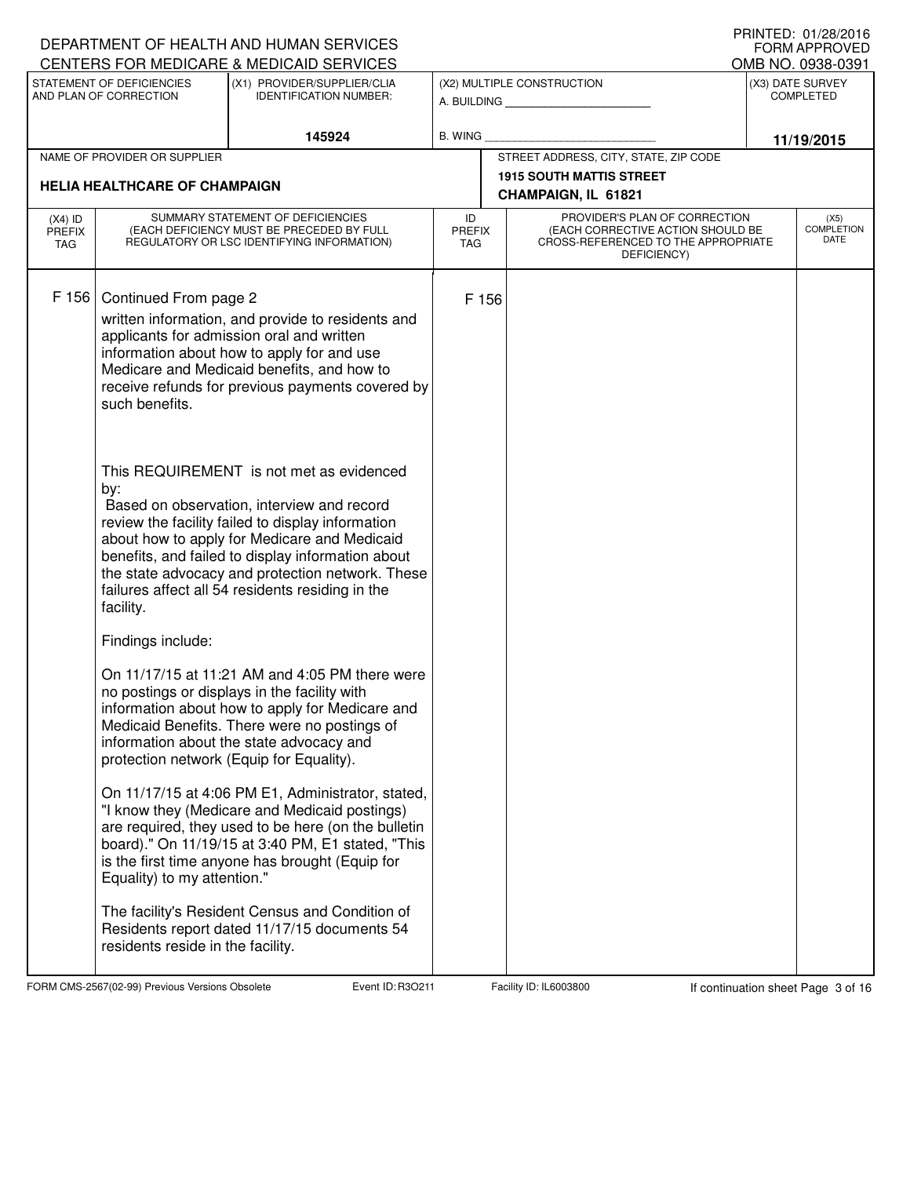|                                   |                                                     | DEPARTMENT OF HEALTH AND HUMAN SERVICES                                                                                                                                                                                                                                                                                                                  |                                   |                                       |                                                                                                                          |  | I INIVILD. VI/ZU/ZVIV<br>FORM APPROVED   |
|-----------------------------------|-----------------------------------------------------|----------------------------------------------------------------------------------------------------------------------------------------------------------------------------------------------------------------------------------------------------------------------------------------------------------------------------------------------------------|-----------------------------------|---------------------------------------|--------------------------------------------------------------------------------------------------------------------------|--|------------------------------------------|
|                                   |                                                     | CENTERS FOR MEDICARE & MEDICAID SERVICES                                                                                                                                                                                                                                                                                                                 |                                   |                                       |                                                                                                                          |  | OMB NO. 0938-0391                        |
|                                   | STATEMENT OF DEFICIENCIES<br>AND PLAN OF CORRECTION | (X1) PROVIDER/SUPPLIER/CLIA<br><b>IDENTIFICATION NUMBER:</b>                                                                                                                                                                                                                                                                                             |                                   |                                       | (X2) MULTIPLE CONSTRUCTION<br>A. BUILDING <b>A.</b> BUILDING                                                             |  | (X3) DATE SURVEY<br><b>COMPLETED</b>     |
|                                   |                                                     | 145924                                                                                                                                                                                                                                                                                                                                                   | B. WING                           |                                       |                                                                                                                          |  | 11/19/2015                               |
|                                   | NAME OF PROVIDER OR SUPPLIER                        |                                                                                                                                                                                                                                                                                                                                                          |                                   | STREET ADDRESS, CITY, STATE, ZIP CODE |                                                                                                                          |  |                                          |
|                                   | <b>HELIA HEALTHCARE OF CHAMPAIGN</b>                |                                                                                                                                                                                                                                                                                                                                                          |                                   |                                       | <b>1915 SOUTH MATTIS STREET</b><br>CHAMPAIGN, IL 61821                                                                   |  |                                          |
| $(X4)$ ID<br><b>PREFIX</b><br>TAG |                                                     | SUMMARY STATEMENT OF DEFICIENCIES<br>(EACH DEFICIENCY MUST BE PRECEDED BY FULL<br>REGULATORY OR LSC IDENTIFYING INFORMATION)                                                                                                                                                                                                                             | ID<br><b>PREFIX</b><br><b>TAG</b> |                                       | PROVIDER'S PLAN OF CORRECTION<br>(EACH CORRECTIVE ACTION SHOULD BE<br>CROSS-REFERENCED TO THE APPROPRIATE<br>DEFICIENCY) |  | (X5)<br><b>COMPLETION</b><br><b>DATE</b> |
| F 156                             | Continued From page 2<br>such benefits.             | written information, and provide to residents and<br>applicants for admission oral and written<br>information about how to apply for and use<br>Medicare and Medicaid benefits, and how to<br>receive refunds for previous payments covered by                                                                                                           | F 156                             |                                       |                                                                                                                          |  |                                          |
|                                   | by:<br>facility.                                    | This REQUIREMENT is not met as evidenced<br>Based on observation, interview and record<br>review the facility failed to display information<br>about how to apply for Medicare and Medicaid<br>benefits, and failed to display information about<br>the state advocacy and protection network. These<br>failures affect all 54 residents residing in the |                                   |                                       |                                                                                                                          |  |                                          |
|                                   | Findings include:                                   |                                                                                                                                                                                                                                                                                                                                                          |                                   |                                       |                                                                                                                          |  |                                          |
|                                   | protection network (Equip for Equality).            | On 11/17/15 at 11:21 AM and 4:05 PM there were<br>no postings or displays in the facility with<br>information about how to apply for Medicare and<br>Medicaid Benefits. There were no postings of<br>information about the state advocacy and                                                                                                            |                                   |                                       |                                                                                                                          |  |                                          |
|                                   | Equality) to my attention."                         | On 11/17/15 at 4:06 PM E1, Administrator, stated,<br>"I know they (Medicare and Medicaid postings)<br>are required, they used to be here (on the bulletin<br>board)." On 11/19/15 at 3:40 PM, E1 stated, "This<br>is the first time anyone has brought (Equip for                                                                                        |                                   |                                       |                                                                                                                          |  |                                          |
|                                   | residents reside in the facility.                   | The facility's Resident Census and Condition of<br>Residents report dated 11/17/15 documents 54                                                                                                                                                                                                                                                          |                                   |                                       |                                                                                                                          |  |                                          |

FORM CMS-2567(02-99) Previous Versions Obsolete Event ID: R3O211 Facility ID: IL6003800 If continuation sheet Page 3 of 16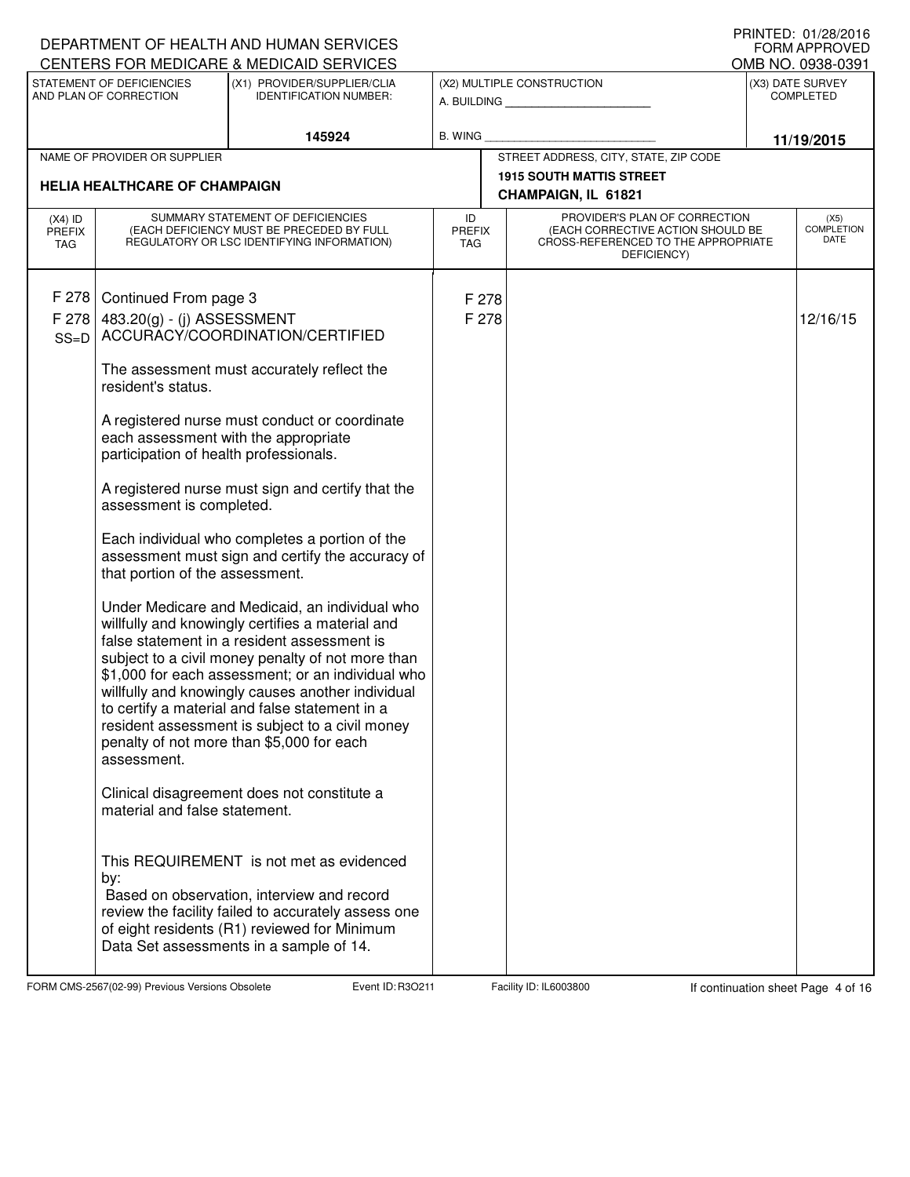|                                   |                                                                                                                                                             | DEPARTMENT OF HEALTH AND HUMAN SERVICES<br>CENTERS FOR MEDICARE & MEDICAID SERVICES                                                                                                                                                                                                                                                                                                                                                                                                                                                                                                                                                                                                                                                                                                                                                                                                                                      |                                   |                                                                                                                          |  | I INIVILD. VI/LU/LVIV<br>FORM APPROVED   |
|-----------------------------------|-------------------------------------------------------------------------------------------------------------------------------------------------------------|--------------------------------------------------------------------------------------------------------------------------------------------------------------------------------------------------------------------------------------------------------------------------------------------------------------------------------------------------------------------------------------------------------------------------------------------------------------------------------------------------------------------------------------------------------------------------------------------------------------------------------------------------------------------------------------------------------------------------------------------------------------------------------------------------------------------------------------------------------------------------------------------------------------------------|-----------------------------------|--------------------------------------------------------------------------------------------------------------------------|--|------------------------------------------|
|                                   | STATEMENT OF DEFICIENCIES                                                                                                                                   | (X1) PROVIDER/SUPPLIER/CLIA                                                                                                                                                                                                                                                                                                                                                                                                                                                                                                                                                                                                                                                                                                                                                                                                                                                                                              |                                   | (X2) MULTIPLE CONSTRUCTION                                                                                               |  | OMB NO. 0938-0391<br>(X3) DATE SURVEY    |
|                                   | AND PLAN OF CORRECTION                                                                                                                                      | <b>IDENTIFICATION NUMBER:</b>                                                                                                                                                                                                                                                                                                                                                                                                                                                                                                                                                                                                                                                                                                                                                                                                                                                                                            |                                   | A. BUILDING                                                                                                              |  | <b>COMPLETED</b>                         |
|                                   |                                                                                                                                                             | 145924                                                                                                                                                                                                                                                                                                                                                                                                                                                                                                                                                                                                                                                                                                                                                                                                                                                                                                                   | <b>B. WING</b>                    |                                                                                                                          |  | 11/19/2015                               |
|                                   | NAME OF PROVIDER OR SUPPLIER                                                                                                                                |                                                                                                                                                                                                                                                                                                                                                                                                                                                                                                                                                                                                                                                                                                                                                                                                                                                                                                                          |                                   | STREET ADDRESS, CITY, STATE, ZIP CODE                                                                                    |  |                                          |
|                                   | <b>HELIA HEALTHCARE OF CHAMPAIGN</b>                                                                                                                        |                                                                                                                                                                                                                                                                                                                                                                                                                                                                                                                                                                                                                                                                                                                                                                                                                                                                                                                          |                                   | <b>1915 SOUTH MATTIS STREET</b><br>CHAMPAIGN, IL 61821                                                                   |  |                                          |
| $(X4)$ ID<br><b>PREFIX</b><br>TAG |                                                                                                                                                             | SUMMARY STATEMENT OF DEFICIENCIES<br>(EACH DEFICIENCY MUST BE PRECEDED BY FULL<br>REGULATORY OR LSC IDENTIFYING INFORMATION)                                                                                                                                                                                                                                                                                                                                                                                                                                                                                                                                                                                                                                                                                                                                                                                             | ID<br><b>PREFIX</b><br><b>TAG</b> | PROVIDER'S PLAN OF CORRECTION<br>(EACH CORRECTIVE ACTION SHOULD BE<br>CROSS-REFERENCED TO THE APPROPRIATE<br>DEFICIENCY) |  | (X5)<br><b>COMPLETION</b><br><b>DATE</b> |
| F 278<br>F 278<br>$SS=D$          | Continued From page 3<br>483.20(g) - (j) ASSESSMENT<br>resident's status.<br>each assessment with the appropriate<br>participation of health professionals. | ACCURACY/COORDINATION/CERTIFIED<br>The assessment must accurately reflect the<br>A registered nurse must conduct or coordinate                                                                                                                                                                                                                                                                                                                                                                                                                                                                                                                                                                                                                                                                                                                                                                                           | F 278<br>F 278                    |                                                                                                                          |  | 12/16/15                                 |
|                                   | assessment is completed.<br>that portion of the assessment.<br>assessment.<br>material and false statement.<br>by:                                          | A registered nurse must sign and certify that the<br>Each individual who completes a portion of the<br>assessment must sign and certify the accuracy of<br>Under Medicare and Medicaid, an individual who<br>willfully and knowingly certifies a material and<br>false statement in a resident assessment is<br>subject to a civil money penalty of not more than<br>\$1,000 for each assessment; or an individual who<br>willfully and knowingly causes another individual<br>to certify a material and false statement in a<br>resident assessment is subject to a civil money<br>penalty of not more than \$5,000 for each<br>Clinical disagreement does not constitute a<br>This REQUIREMENT is not met as evidenced<br>Based on observation, interview and record<br>review the facility failed to accurately assess one<br>of eight residents (R1) reviewed for Minimum<br>Data Set assessments in a sample of 14. |                                   |                                                                                                                          |  |                                          |

FORM CMS-2567(02-99) Previous Versions Obsolete Event ID: R3O211 Facility ID: IL6003800 If continuation sheet Page 4 of 16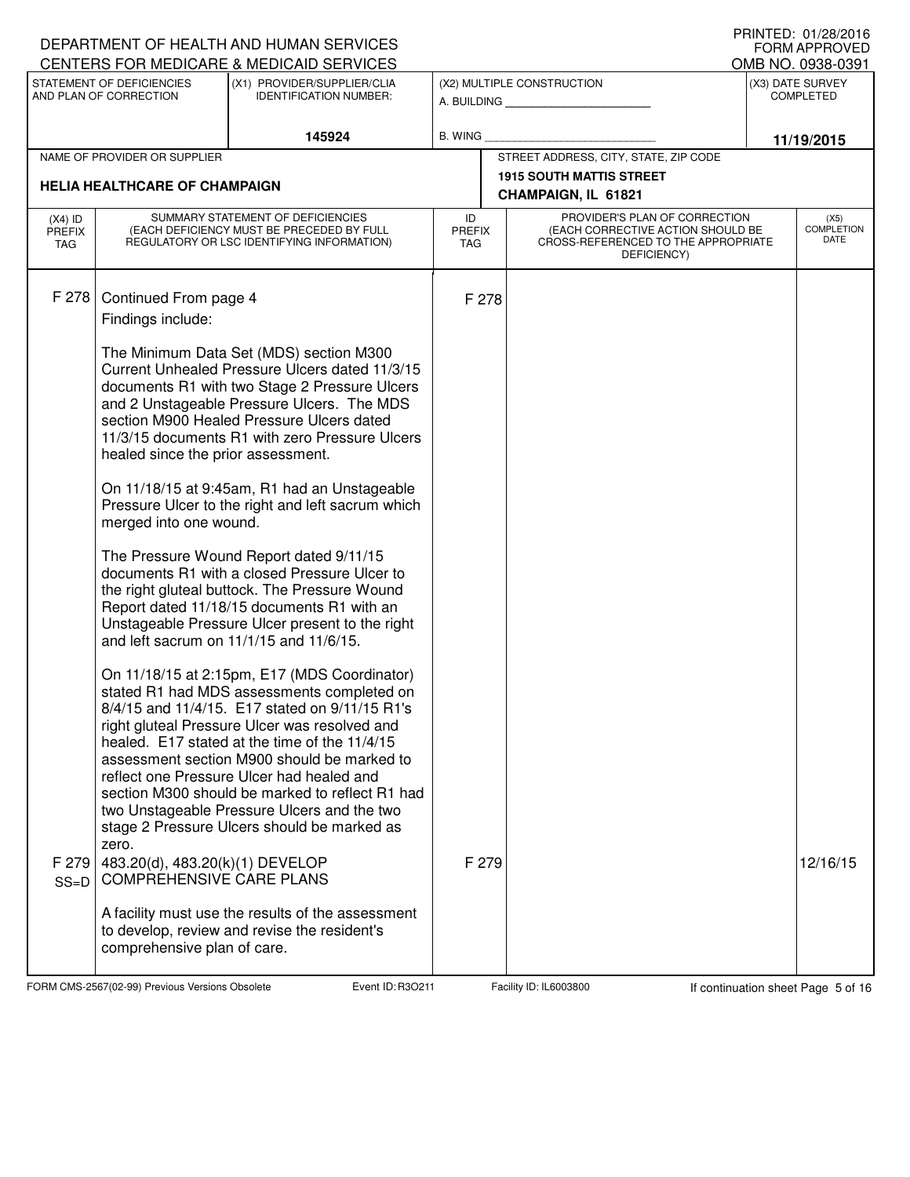|                                   |                                                                             | DEPARTMENT OF HEALTH AND HUMAN SERVICES<br>CENTERS FOR MEDICARE & MEDICAID SERVICES                                                                                                                                                                                                                                                                                                                                                                                                         |                                   |       |                                                                                                                          | I INIVILD. VI/LO/LVIV<br><b>FORM APPROVED</b> |
|-----------------------------------|-----------------------------------------------------------------------------|---------------------------------------------------------------------------------------------------------------------------------------------------------------------------------------------------------------------------------------------------------------------------------------------------------------------------------------------------------------------------------------------------------------------------------------------------------------------------------------------|-----------------------------------|-------|--------------------------------------------------------------------------------------------------------------------------|-----------------------------------------------|
|                                   | STATEMENT OF DEFICIENCIES                                                   | (X1) PROVIDER/SUPPLIER/CLIA                                                                                                                                                                                                                                                                                                                                                                                                                                                                 |                                   |       | (X2) MULTIPLE CONSTRUCTION                                                                                               | OMB NO. 0938-0391<br>(X3) DATE SURVEY         |
|                                   | AND PLAN OF CORRECTION                                                      | <b>IDENTIFICATION NUMBER:</b>                                                                                                                                                                                                                                                                                                                                                                                                                                                               |                                   |       | A. BUILDING                                                                                                              | <b>COMPLETED</b>                              |
|                                   |                                                                             | 145924                                                                                                                                                                                                                                                                                                                                                                                                                                                                                      | <b>B. WING</b>                    |       |                                                                                                                          | 11/19/2015                                    |
|                                   | NAME OF PROVIDER OR SUPPLIER                                                |                                                                                                                                                                                                                                                                                                                                                                                                                                                                                             |                                   |       | STREET ADDRESS, CITY, STATE, ZIP CODE                                                                                    |                                               |
|                                   | <b>HELIA HEALTHCARE OF CHAMPAIGN</b>                                        |                                                                                                                                                                                                                                                                                                                                                                                                                                                                                             |                                   |       | <b>1915 SOUTH MATTIS STREET</b>                                                                                          |                                               |
|                                   |                                                                             |                                                                                                                                                                                                                                                                                                                                                                                                                                                                                             |                                   |       | CHAMPAIGN, IL 61821                                                                                                      |                                               |
| $(X4)$ ID<br><b>PREFIX</b><br>TAG |                                                                             | SUMMARY STATEMENT OF DEFICIENCIES<br>(EACH DEFICIENCY MUST BE PRECEDED BY FULL<br>REGULATORY OR LSC IDENTIFYING INFORMATION)                                                                                                                                                                                                                                                                                                                                                                | ID<br><b>PREFIX</b><br><b>TAG</b> |       | PROVIDER'S PLAN OF CORRECTION<br>(EACH CORRECTIVE ACTION SHOULD BE<br>CROSS-REFERENCED TO THE APPROPRIATE<br>DEFICIENCY) | (X5)<br><b>COMPLETION</b><br>DATE             |
| F 278                             | Continued From page 4<br>Findings include:                                  |                                                                                                                                                                                                                                                                                                                                                                                                                                                                                             |                                   | F 278 |                                                                                                                          |                                               |
|                                   | healed since the prior assessment.                                          | The Minimum Data Set (MDS) section M300<br>Current Unhealed Pressure Ulcers dated 11/3/15<br>documents R1 with two Stage 2 Pressure Ulcers<br>and 2 Unstageable Pressure Ulcers. The MDS<br>section M900 Healed Pressure Ulcers dated<br>11/3/15 documents R1 with zero Pressure Ulcers                                                                                                                                                                                                     |                                   |       |                                                                                                                          |                                               |
|                                   | merged into one wound.                                                      | On 11/18/15 at 9:45am, R1 had an Unstageable<br>Pressure Ulcer to the right and left sacrum which                                                                                                                                                                                                                                                                                                                                                                                           |                                   |       |                                                                                                                          |                                               |
|                                   |                                                                             | The Pressure Wound Report dated 9/11/15<br>documents R1 with a closed Pressure Ulcer to<br>the right gluteal buttock. The Pressure Wound<br>Report dated 11/18/15 documents R1 with an<br>Unstageable Pressure Ulcer present to the right<br>and left sacrum on 11/1/15 and 11/6/15.                                                                                                                                                                                                        |                                   |       |                                                                                                                          |                                               |
| F 279<br>$SS=D$                   | zero.<br>483.20(d), 483.20(k)(1) DEVELOP<br><b>COMPREHENSIVE CARE PLANS</b> | On 11/18/15 at 2:15pm, E17 (MDS Coordinator)<br>stated R1 had MDS assessments completed on<br>8/4/15 and 11/4/15. E17 stated on 9/11/15 R1's<br>right gluteal Pressure Ulcer was resolved and<br>healed. E17 stated at the time of the 11/4/15<br>assessment section M900 should be marked to<br>reflect one Pressure Ulcer had healed and<br>section M300 should be marked to reflect R1 had<br>two Unstageable Pressure Ulcers and the two<br>stage 2 Pressure Ulcers should be marked as |                                   | F 279 |                                                                                                                          | 12/16/15                                      |
|                                   | comprehensive plan of care.                                                 | A facility must use the results of the assessment<br>to develop, review and revise the resident's                                                                                                                                                                                                                                                                                                                                                                                           |                                   |       |                                                                                                                          |                                               |

FORM CMS-2567(02-99) Previous Versions Obsolete Event ID: R3O211 Facility ID: IL6003800 If continuation sheet Page 5 of 16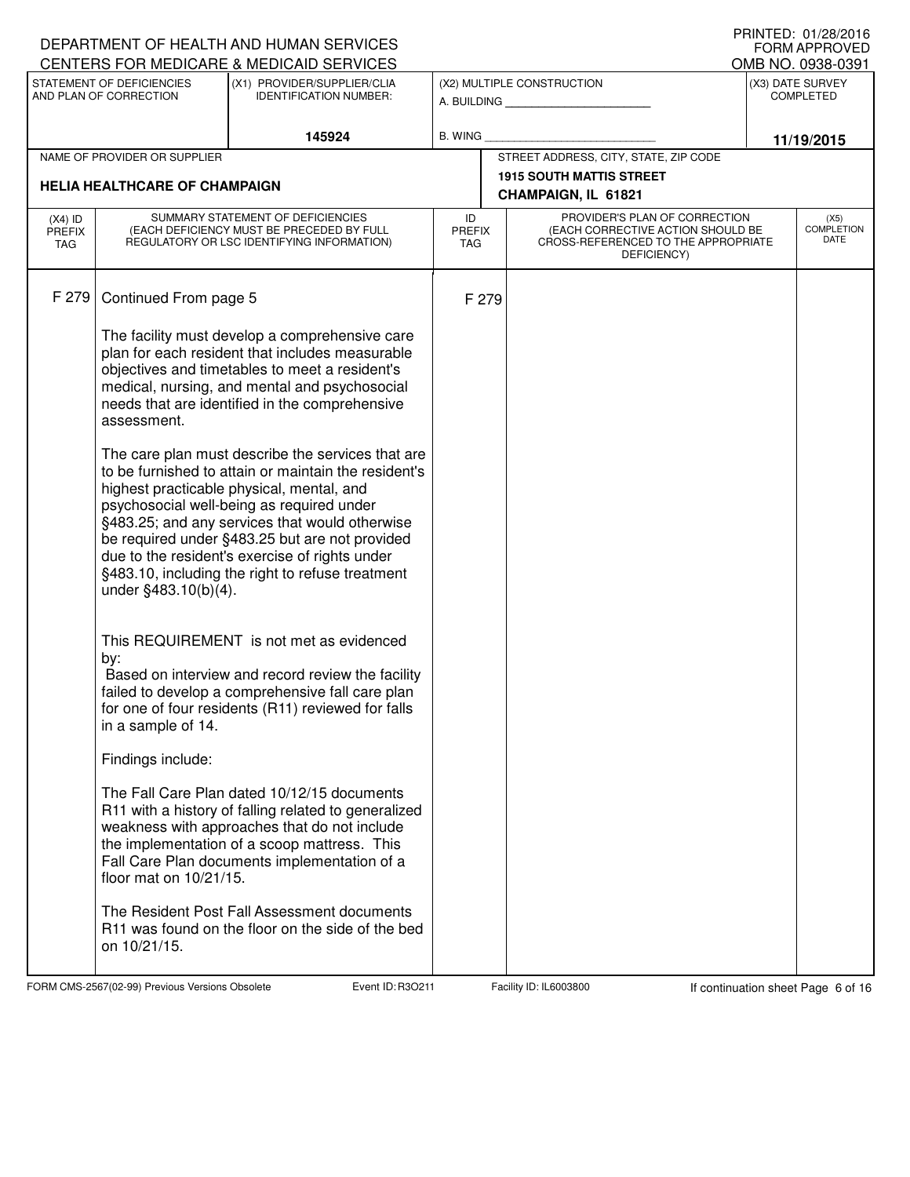|                                   |                                      | DEPARTMENT OF HEALTH AND HUMAN SERVICES                                                                                                                                                                                                                                                                                                                                                                       |                                   |       |                                                                                         | I INIVILD. VI/LU/LVIV<br><b>FORM APPROVED</b> |
|-----------------------------------|--------------------------------------|---------------------------------------------------------------------------------------------------------------------------------------------------------------------------------------------------------------------------------------------------------------------------------------------------------------------------------------------------------------------------------------------------------------|-----------------------------------|-------|-----------------------------------------------------------------------------------------|-----------------------------------------------|
|                                   | STATEMENT OF DEFICIENCIES            | CENTERS FOR MEDICARE & MEDICAID SERVICES<br>(X1) PROVIDER/SUPPLIER/CLIA                                                                                                                                                                                                                                                                                                                                       |                                   |       | (X2) MULTIPLE CONSTRUCTION                                                              | OMB NO. 0938-0391<br>(X3) DATE SURVEY         |
|                                   | AND PLAN OF CORRECTION               | <b>IDENTIFICATION NUMBER:</b>                                                                                                                                                                                                                                                                                                                                                                                 |                                   |       | A. BUILDING                                                                             | <b>COMPLETED</b>                              |
|                                   |                                      | 145924                                                                                                                                                                                                                                                                                                                                                                                                        | <b>B. WING</b>                    |       |                                                                                         | 11/19/2015                                    |
|                                   | NAME OF PROVIDER OR SUPPLIER         |                                                                                                                                                                                                                                                                                                                                                                                                               |                                   |       | STREET ADDRESS, CITY, STATE, ZIP CODE                                                   |                                               |
|                                   | <b>HELIA HEALTHCARE OF CHAMPAIGN</b> |                                                                                                                                                                                                                                                                                                                                                                                                               |                                   |       | <b>1915 SOUTH MATTIS STREET</b>                                                         |                                               |
|                                   |                                      | SUMMARY STATEMENT OF DEFICIENCIES                                                                                                                                                                                                                                                                                                                                                                             |                                   |       | CHAMPAIGN, IL 61821<br>PROVIDER'S PLAN OF CORRECTION                                    |                                               |
| $(X4)$ ID<br><b>PREFIX</b><br>TAG |                                      | (EACH DEFICIENCY MUST BE PRECEDED BY FULL<br>REGULATORY OR LSC IDENTIFYING INFORMATION)                                                                                                                                                                                                                                                                                                                       | ID<br><b>PREFIX</b><br><b>TAG</b> |       | (EACH CORRECTIVE ACTION SHOULD BE<br>CROSS-REFERENCED TO THE APPROPRIATE<br>DEFICIENCY) | (X5)<br><b>COMPLETION</b><br>DATE             |
| F 279                             | Continued From page 5                |                                                                                                                                                                                                                                                                                                                                                                                                               |                                   | F 279 |                                                                                         |                                               |
|                                   | assessment.                          | The facility must develop a comprehensive care<br>plan for each resident that includes measurable<br>objectives and timetables to meet a resident's<br>medical, nursing, and mental and psychosocial<br>needs that are identified in the comprehensive                                                                                                                                                        |                                   |       |                                                                                         |                                               |
|                                   | under §483.10(b)(4).                 | The care plan must describe the services that are<br>to be furnished to attain or maintain the resident's<br>highest practicable physical, mental, and<br>psychosocial well-being as required under<br>§483.25; and any services that would otherwise<br>be required under §483.25 but are not provided<br>due to the resident's exercise of rights under<br>§483.10, including the right to refuse treatment |                                   |       |                                                                                         |                                               |
|                                   | by:<br>in a sample of 14.            | This REQUIREMENT is not met as evidenced<br>Based on interview and record review the facility<br>failed to develop a comprehensive fall care plan<br>for one of four residents (R11) reviewed for falls                                                                                                                                                                                                       |                                   |       |                                                                                         |                                               |
|                                   | Findings include:                    |                                                                                                                                                                                                                                                                                                                                                                                                               |                                   |       |                                                                                         |                                               |
|                                   | floor mat on 10/21/15.               | The Fall Care Plan dated 10/12/15 documents<br>R11 with a history of falling related to generalized<br>weakness with approaches that do not include<br>the implementation of a scoop mattress. This<br>Fall Care Plan documents implementation of a                                                                                                                                                           |                                   |       |                                                                                         |                                               |
|                                   | on 10/21/15.                         | The Resident Post Fall Assessment documents<br>R11 was found on the floor on the side of the bed                                                                                                                                                                                                                                                                                                              |                                   |       |                                                                                         |                                               |

FORM CMS-2567(02-99) Previous Versions Obsolete Event ID: R3O211 Facility ID: IL6003800 If continuation sheet Page 6 of 16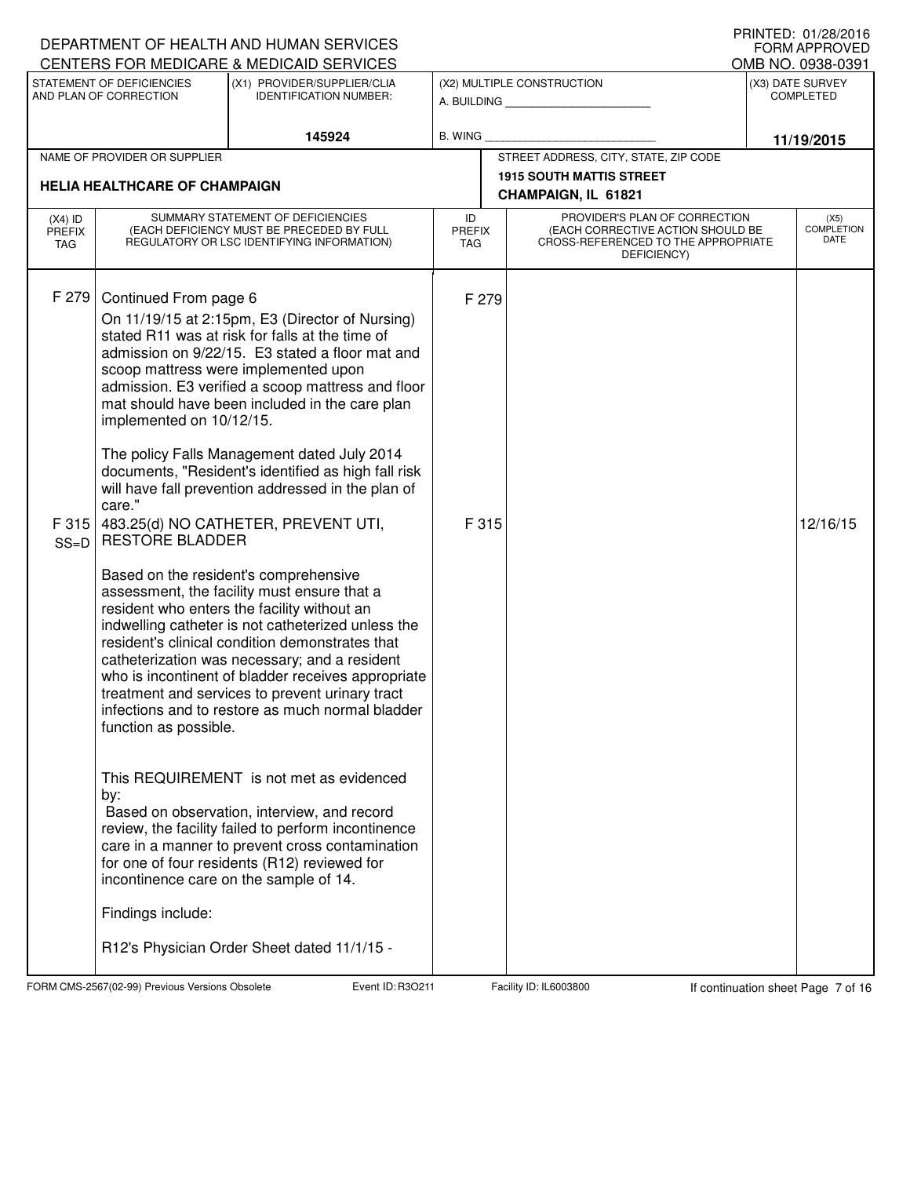|                                   |                                                                                                                                            | DEPARTMENT OF HEALTH AND HUMAN SERVICES<br>CENTERS FOR MEDICARE & MEDICAID SERVICES                                                                                                                                                                                                                                                                                                                                                                                                                                                                                                                                                                                                                                                                                                                                                                                                                                                                                                                                                                                                                                                                                                                                                                                  |                                   |                                                                                                                          | I INIVILD. VI/LO/LVIV<br>FORM APPROVED<br>OMB NO. 0938-0391 |
|-----------------------------------|--------------------------------------------------------------------------------------------------------------------------------------------|----------------------------------------------------------------------------------------------------------------------------------------------------------------------------------------------------------------------------------------------------------------------------------------------------------------------------------------------------------------------------------------------------------------------------------------------------------------------------------------------------------------------------------------------------------------------------------------------------------------------------------------------------------------------------------------------------------------------------------------------------------------------------------------------------------------------------------------------------------------------------------------------------------------------------------------------------------------------------------------------------------------------------------------------------------------------------------------------------------------------------------------------------------------------------------------------------------------------------------------------------------------------|-----------------------------------|--------------------------------------------------------------------------------------------------------------------------|-------------------------------------------------------------|
|                                   | STATEMENT OF DEFICIENCIES                                                                                                                  | (X1) PROVIDER/SUPPLIER/CLIA                                                                                                                                                                                                                                                                                                                                                                                                                                                                                                                                                                                                                                                                                                                                                                                                                                                                                                                                                                                                                                                                                                                                                                                                                                          |                                   | (X2) MULTIPLE CONSTRUCTION                                                                                               | (X3) DATE SURVEY                                            |
|                                   | AND PLAN OF CORRECTION                                                                                                                     | <b>IDENTIFICATION NUMBER:</b>                                                                                                                                                                                                                                                                                                                                                                                                                                                                                                                                                                                                                                                                                                                                                                                                                                                                                                                                                                                                                                                                                                                                                                                                                                        |                                   | A. BUILDING                                                                                                              | <b>COMPLETED</b>                                            |
|                                   |                                                                                                                                            | 145924                                                                                                                                                                                                                                                                                                                                                                                                                                                                                                                                                                                                                                                                                                                                                                                                                                                                                                                                                                                                                                                                                                                                                                                                                                                               | <b>B. WING</b>                    |                                                                                                                          | 11/19/2015                                                  |
|                                   | NAME OF PROVIDER OR SUPPLIER                                                                                                               |                                                                                                                                                                                                                                                                                                                                                                                                                                                                                                                                                                                                                                                                                                                                                                                                                                                                                                                                                                                                                                                                                                                                                                                                                                                                      |                                   | STREET ADDRESS, CITY, STATE, ZIP CODE<br><b>1915 SOUTH MATTIS STREET</b>                                                 |                                                             |
|                                   | <b>HELIA HEALTHCARE OF CHAMPAIGN</b>                                                                                                       |                                                                                                                                                                                                                                                                                                                                                                                                                                                                                                                                                                                                                                                                                                                                                                                                                                                                                                                                                                                                                                                                                                                                                                                                                                                                      |                                   | CHAMPAIGN, IL 61821                                                                                                      |                                                             |
| $(X4)$ ID<br><b>PREFIX</b><br>TAG |                                                                                                                                            | SUMMARY STATEMENT OF DEFICIENCIES<br>(EACH DEFICIENCY MUST BE PRECEDED BY FULL<br>REGULATORY OR LSC IDENTIFYING INFORMATION)                                                                                                                                                                                                                                                                                                                                                                                                                                                                                                                                                                                                                                                                                                                                                                                                                                                                                                                                                                                                                                                                                                                                         | ID<br><b>PREFIX</b><br><b>TAG</b> | PROVIDER'S PLAN OF CORRECTION<br>(EACH CORRECTIVE ACTION SHOULD BE<br>CROSS-REFERENCED TO THE APPROPRIATE<br>DEFICIENCY) | (X5)<br><b>COMPLETION</b><br>DATE                           |
| F 279<br>F315<br>$SS=D$           | Continued From page 6<br>implemented on 10/12/15.<br>care."<br><b>RESTORE BLADDER</b><br>function as possible.<br>by:<br>Findings include: | On 11/19/15 at 2:15pm, E3 (Director of Nursing)<br>stated R11 was at risk for falls at the time of<br>admission on 9/22/15. E3 stated a floor mat and<br>scoop mattress were implemented upon<br>admission. E3 verified a scoop mattress and floor<br>mat should have been included in the care plan<br>The policy Falls Management dated July 2014<br>documents, "Resident's identified as high fall risk<br>will have fall prevention addressed in the plan of<br>483.25(d) NO CATHETER, PREVENT UTI,<br>Based on the resident's comprehensive<br>assessment, the facility must ensure that a<br>resident who enters the facility without an<br>indwelling catheter is not catheterized unless the<br>resident's clinical condition demonstrates that<br>catheterization was necessary; and a resident<br>who is incontinent of bladder receives appropriate<br>treatment and services to prevent urinary tract<br>infections and to restore as much normal bladder<br>This REQUIREMENT is not met as evidenced<br>Based on observation, interview, and record<br>review, the facility failed to perform incontinence<br>care in a manner to prevent cross contamination<br>for one of four residents (R12) reviewed for<br>incontinence care on the sample of 14. | F 279<br>F 315                    |                                                                                                                          | 12/16/15                                                    |
|                                   |                                                                                                                                            | R12's Physician Order Sheet dated 11/1/15 -                                                                                                                                                                                                                                                                                                                                                                                                                                                                                                                                                                                                                                                                                                                                                                                                                                                                                                                                                                                                                                                                                                                                                                                                                          |                                   |                                                                                                                          |                                                             |

FORM CMS-2567(02-99) Previous Versions Obsolete Event ID: R3O211 Facility ID: IL6003800 If continuation sheet Page 7 of 16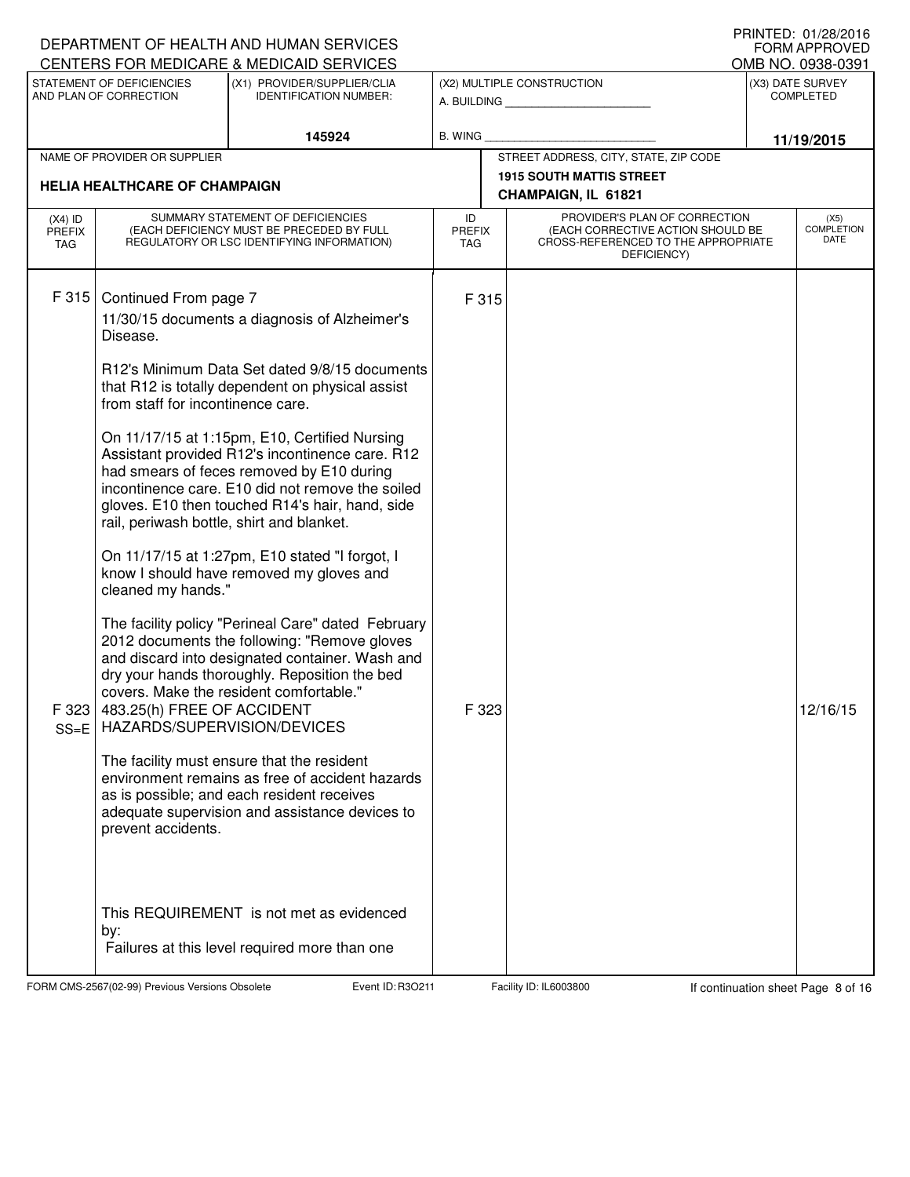|                                   |                                                                                                                                           | DEPARTMENT OF HEALTH AND HUMAN SERVICES<br>CENTERS FOR MEDICARE & MEDICAID SERVICES                                                                                                                                                                                                                                                                                                                                                                                                                                                                                                                                                                                                                                                                           |                                   |                                                                                                                          |  | $1111111$ LU. UTZUZUTU<br><b>FORM APPROVED</b><br>OMB NO. 0938-0391 |
|-----------------------------------|-------------------------------------------------------------------------------------------------------------------------------------------|---------------------------------------------------------------------------------------------------------------------------------------------------------------------------------------------------------------------------------------------------------------------------------------------------------------------------------------------------------------------------------------------------------------------------------------------------------------------------------------------------------------------------------------------------------------------------------------------------------------------------------------------------------------------------------------------------------------------------------------------------------------|-----------------------------------|--------------------------------------------------------------------------------------------------------------------------|--|---------------------------------------------------------------------|
|                                   | STATEMENT OF DEFICIENCIES<br>AND PLAN OF CORRECTION                                                                                       | (X1) PROVIDER/SUPPLIER/CLIA                                                                                                                                                                                                                                                                                                                                                                                                                                                                                                                                                                                                                                                                                                                                   |                                   | (X2) MULTIPLE CONSTRUCTION                                                                                               |  | (X3) DATE SURVEY<br><b>COMPLETED</b>                                |
|                                   |                                                                                                                                           | <b>IDENTIFICATION NUMBER:</b>                                                                                                                                                                                                                                                                                                                                                                                                                                                                                                                                                                                                                                                                                                                                 |                                   | A. BUILDING                                                                                                              |  |                                                                     |
|                                   |                                                                                                                                           | 145924                                                                                                                                                                                                                                                                                                                                                                                                                                                                                                                                                                                                                                                                                                                                                        | <b>B. WING</b>                    |                                                                                                                          |  | 11/19/2015                                                          |
|                                   | NAME OF PROVIDER OR SUPPLIER                                                                                                              |                                                                                                                                                                                                                                                                                                                                                                                                                                                                                                                                                                                                                                                                                                                                                               |                                   | STREET ADDRESS, CITY, STATE, ZIP CODE<br><b>1915 SOUTH MATTIS STREET</b>                                                 |  |                                                                     |
|                                   | <b>HELIA HEALTHCARE OF CHAMPAIGN</b>                                                                                                      |                                                                                                                                                                                                                                                                                                                                                                                                                                                                                                                                                                                                                                                                                                                                                               |                                   | CHAMPAIGN, IL 61821                                                                                                      |  |                                                                     |
| $(X4)$ ID<br><b>PREFIX</b><br>TAG |                                                                                                                                           | SUMMARY STATEMENT OF DEFICIENCIES<br>(EACH DEFICIENCY MUST BE PRECEDED BY FULL<br>REGULATORY OR LSC IDENTIFYING INFORMATION)                                                                                                                                                                                                                                                                                                                                                                                                                                                                                                                                                                                                                                  | ID<br><b>PREFIX</b><br><b>TAG</b> | PROVIDER'S PLAN OF CORRECTION<br>(EACH CORRECTIVE ACTION SHOULD BE<br>CROSS-REFERENCED TO THE APPROPRIATE<br>DEFICIENCY) |  | (X5)<br><b>COMPLETION</b><br>DATE                                   |
| F 315                             | Continued From page 7<br>Disease.<br>from staff for incontinence care.<br>rail, periwash bottle, shirt and blanket.<br>cleaned my hands." | 11/30/15 documents a diagnosis of Alzheimer's<br>R12's Minimum Data Set dated 9/8/15 documents<br>that R12 is totally dependent on physical assist<br>On 11/17/15 at 1:15pm, E10, Certified Nursing<br>Assistant provided R12's incontinence care. R12<br>had smears of feces removed by E10 during<br>incontinence care. E10 did not remove the soiled<br>gloves. E10 then touched R14's hair, hand, side<br>On 11/17/15 at 1:27pm, E10 stated "I forgot, I<br>know I should have removed my gloves and<br>The facility policy "Perineal Care" dated February<br>2012 documents the following: "Remove gloves<br>and discard into designated container. Wash and<br>dry your hands thoroughly. Reposition the bed<br>covers. Make the resident comfortable." | F 315                             |                                                                                                                          |  |                                                                     |
| $SS = E$                          | F 323 483.25(h) FREE OF ACCIDENT<br>HAZARDS/SUPERVISION/DEVICES<br>prevent accidents.                                                     | The facility must ensure that the resident<br>environment remains as free of accident hazards<br>as is possible; and each resident receives<br>adequate supervision and assistance devices to                                                                                                                                                                                                                                                                                                                                                                                                                                                                                                                                                                 | F 323                             |                                                                                                                          |  | 12/16/15                                                            |
|                                   | by:                                                                                                                                       | This REQUIREMENT is not met as evidenced<br>Failures at this level required more than one                                                                                                                                                                                                                                                                                                                                                                                                                                                                                                                                                                                                                                                                     |                                   |                                                                                                                          |  |                                                                     |

FORM CMS-2567(02-99) Previous Versions Obsolete Event ID: R3O211 Facility ID: IL6003800 If continuation sheet Page 8 of 16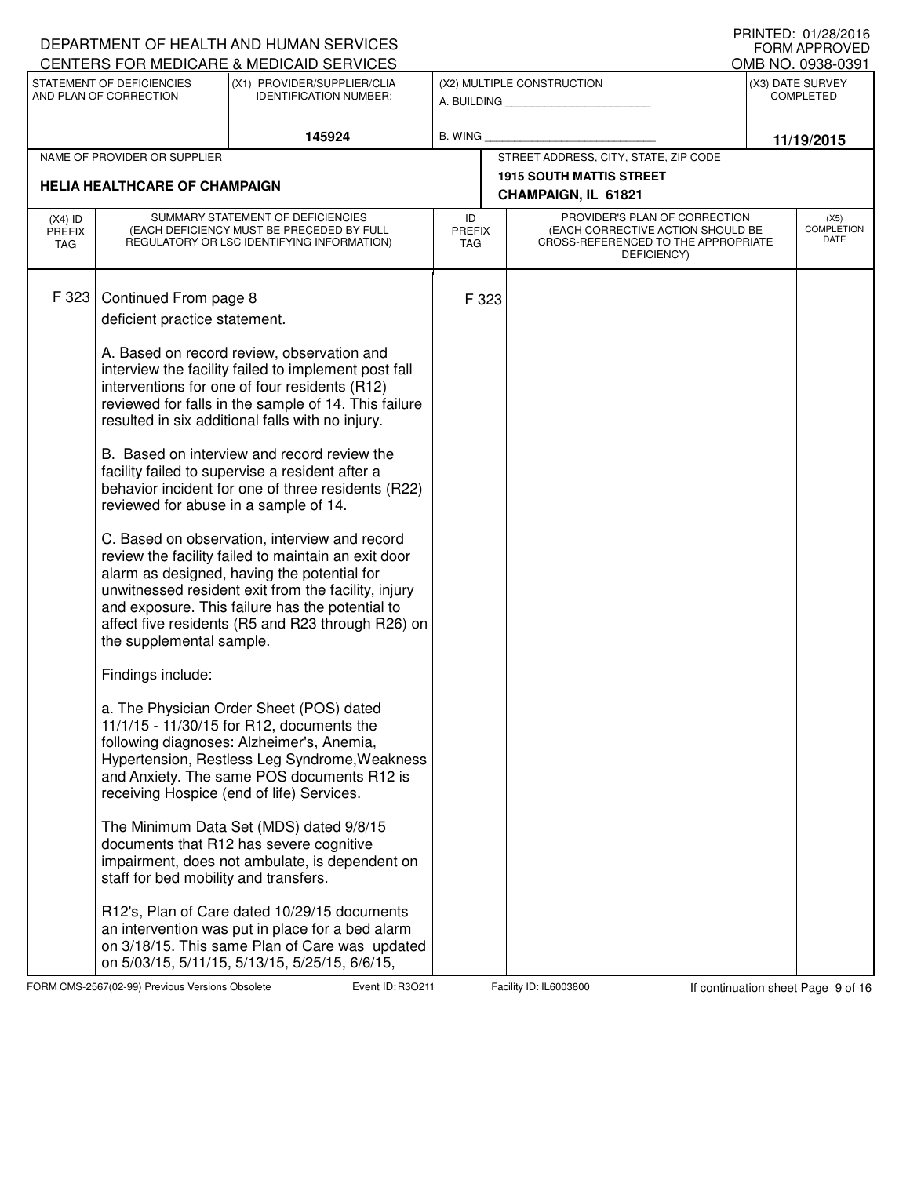|                                   |                                                                                                                                                  | DEPARTMENT OF HEALTH AND HUMAN SERVICES<br>CENTERS FOR MEDICARE & MEDICAID SERVICES                                                                                                                                                                                                                                                                                                                                                                                                                                                                                                                                                                                                                                                                                                                                                                                                                                                                                                                                                                                        |                                   |                                                        |                                                                                                                          |  | I IUINILLI. VIILOILVIV<br>FORM APPROVED<br>OMB NO. 0938-0391 |
|-----------------------------------|--------------------------------------------------------------------------------------------------------------------------------------------------|----------------------------------------------------------------------------------------------------------------------------------------------------------------------------------------------------------------------------------------------------------------------------------------------------------------------------------------------------------------------------------------------------------------------------------------------------------------------------------------------------------------------------------------------------------------------------------------------------------------------------------------------------------------------------------------------------------------------------------------------------------------------------------------------------------------------------------------------------------------------------------------------------------------------------------------------------------------------------------------------------------------------------------------------------------------------------|-----------------------------------|--------------------------------------------------------|--------------------------------------------------------------------------------------------------------------------------|--|--------------------------------------------------------------|
|                                   | STATEMENT OF DEFICIENCIES                                                                                                                        | (X1) PROVIDER/SUPPLIER/CLIA                                                                                                                                                                                                                                                                                                                                                                                                                                                                                                                                                                                                                                                                                                                                                                                                                                                                                                                                                                                                                                                |                                   |                                                        | (X2) MULTIPLE CONSTRUCTION                                                                                               |  | (X3) DATE SURVEY                                             |
|                                   | AND PLAN OF CORRECTION                                                                                                                           | <b>IDENTIFICATION NUMBER:</b>                                                                                                                                                                                                                                                                                                                                                                                                                                                                                                                                                                                                                                                                                                                                                                                                                                                                                                                                                                                                                                              |                                   |                                                        | A. BUILDING                                                                                                              |  | <b>COMPLETED</b>                                             |
|                                   |                                                                                                                                                  | 145924                                                                                                                                                                                                                                                                                                                                                                                                                                                                                                                                                                                                                                                                                                                                                                                                                                                                                                                                                                                                                                                                     | <b>B. WING</b>                    |                                                        |                                                                                                                          |  | 11/19/2015                                                   |
|                                   | NAME OF PROVIDER OR SUPPLIER                                                                                                                     |                                                                                                                                                                                                                                                                                                                                                                                                                                                                                                                                                                                                                                                                                                                                                                                                                                                                                                                                                                                                                                                                            |                                   |                                                        | STREET ADDRESS, CITY, STATE, ZIP CODE                                                                                    |  |                                                              |
|                                   | <b>HELIA HEALTHCARE OF CHAMPAIGN</b>                                                                                                             |                                                                                                                                                                                                                                                                                                                                                                                                                                                                                                                                                                                                                                                                                                                                                                                                                                                                                                                                                                                                                                                                            |                                   | <b>1915 SOUTH MATTIS STREET</b><br>CHAMPAIGN, IL 61821 |                                                                                                                          |  |                                                              |
| $(X4)$ ID<br><b>PREFIX</b><br>TAG |                                                                                                                                                  | SUMMARY STATEMENT OF DEFICIENCIES<br>(EACH DEFICIENCY MUST BE PRECEDED BY FULL<br>REGULATORY OR LSC IDENTIFYING INFORMATION)                                                                                                                                                                                                                                                                                                                                                                                                                                                                                                                                                                                                                                                                                                                                                                                                                                                                                                                                               | ID<br><b>PREFIX</b><br><b>TAG</b> |                                                        | PROVIDER'S PLAN OF CORRECTION<br>(EACH CORRECTIVE ACTION SHOULD BE<br>CROSS-REFERENCED TO THE APPROPRIATE<br>DEFICIENCY) |  | (X5)<br><b>COMPLETION</b><br>DATE                            |
| F 323                             | Continued From page 8<br>deficient practice statement.<br>reviewed for abuse in a sample of 14.<br>the supplemental sample.<br>Findings include: | A. Based on record review, observation and<br>interview the facility failed to implement post fall<br>interventions for one of four residents (R12)<br>reviewed for falls in the sample of 14. This failure<br>resulted in six additional falls with no injury.<br>B. Based on interview and record review the<br>facility failed to supervise a resident after a<br>behavior incident for one of three residents (R22)<br>C. Based on observation, interview and record<br>review the facility failed to maintain an exit door<br>alarm as designed, having the potential for<br>unwitnessed resident exit from the facility, injury<br>and exposure. This failure has the potential to<br>affect five residents (R5 and R23 through R26) on<br>a. The Physician Order Sheet (POS) dated<br>11/1/15 - 11/30/15 for R12, documents the<br>following diagnoses: Alzheimer's, Anemia,<br>Hypertension, Restless Leg Syndrome, Weakness<br>and Anxiety. The same POS documents R12 is<br>receiving Hospice (end of life) Services.<br>The Minimum Data Set (MDS) dated 9/8/15 |                                   | F 323                                                  |                                                                                                                          |  |                                                              |
|                                   | staff for bed mobility and transfers.                                                                                                            | documents that R12 has severe cognitive<br>impairment, does not ambulate, is dependent on                                                                                                                                                                                                                                                                                                                                                                                                                                                                                                                                                                                                                                                                                                                                                                                                                                                                                                                                                                                  |                                   |                                                        |                                                                                                                          |  |                                                              |
|                                   |                                                                                                                                                  | R12's, Plan of Care dated 10/29/15 documents<br>an intervention was put in place for a bed alarm<br>on 3/18/15. This same Plan of Care was updated<br>on 5/03/15, 5/11/15, 5/13/15, 5/25/15, 6/6/15,                                                                                                                                                                                                                                                                                                                                                                                                                                                                                                                                                                                                                                                                                                                                                                                                                                                                       |                                   |                                                        |                                                                                                                          |  |                                                              |

FORM CMS-2567(02-99) Previous Versions Obsolete Event ID: R3O211 Facility ID: IL6003800 If continuation sheet Page 9 of 16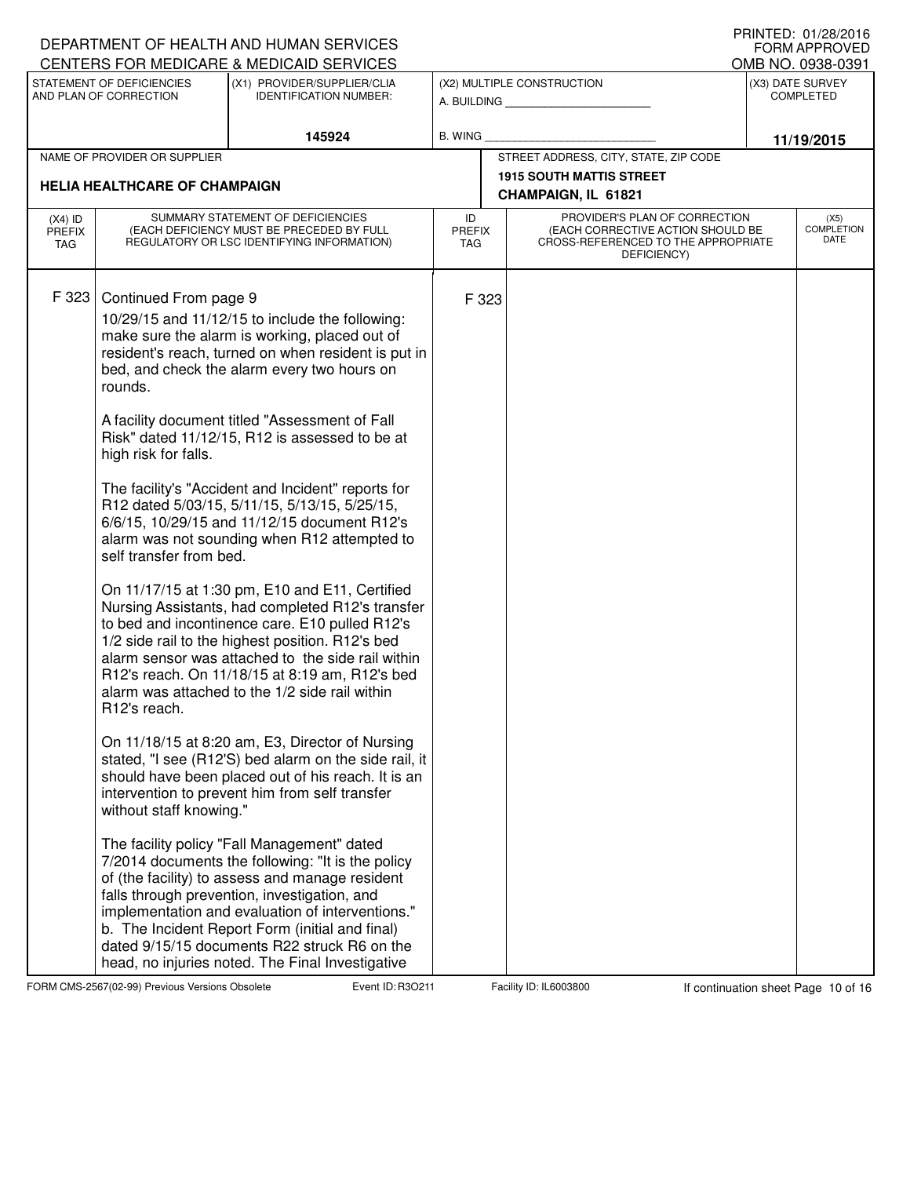|                                   |                                                                                                                                             | DEPARTMENT OF HEALTH AND HUMAN SERVICES<br><b>CENTERS FOR MEDICARE &amp; MEDICAID SERVICES</b>                                                                                                                                                                                                                                                                                                                                                                                                                                                                                                                                                                                                                                                                                                                                                                                                                                                                                                                                                                                                                                                                                                                                                                                                                                                                                                                           |                            |       |                                                                                                                          | FORM APPROVED<br>OMB NO. 0938-0391 |
|-----------------------------------|---------------------------------------------------------------------------------------------------------------------------------------------|--------------------------------------------------------------------------------------------------------------------------------------------------------------------------------------------------------------------------------------------------------------------------------------------------------------------------------------------------------------------------------------------------------------------------------------------------------------------------------------------------------------------------------------------------------------------------------------------------------------------------------------------------------------------------------------------------------------------------------------------------------------------------------------------------------------------------------------------------------------------------------------------------------------------------------------------------------------------------------------------------------------------------------------------------------------------------------------------------------------------------------------------------------------------------------------------------------------------------------------------------------------------------------------------------------------------------------------------------------------------------------------------------------------------------|----------------------------|-------|--------------------------------------------------------------------------------------------------------------------------|------------------------------------|
|                                   | STATEMENT OF DEFICIENCIES                                                                                                                   | (X1) PROVIDER/SUPPLIER/CLIA                                                                                                                                                                                                                                                                                                                                                                                                                                                                                                                                                                                                                                                                                                                                                                                                                                                                                                                                                                                                                                                                                                                                                                                                                                                                                                                                                                                              |                            |       | (X2) MULTIPLE CONSTRUCTION                                                                                               | (X3) DATE SURVEY                   |
|                                   | AND PLAN OF CORRECTION                                                                                                                      | <b>IDENTIFICATION NUMBER:</b>                                                                                                                                                                                                                                                                                                                                                                                                                                                                                                                                                                                                                                                                                                                                                                                                                                                                                                                                                                                                                                                                                                                                                                                                                                                                                                                                                                                            |                            |       | A. BUILDING                                                                                                              | <b>COMPLETED</b>                   |
|                                   |                                                                                                                                             | 145924                                                                                                                                                                                                                                                                                                                                                                                                                                                                                                                                                                                                                                                                                                                                                                                                                                                                                                                                                                                                                                                                                                                                                                                                                                                                                                                                                                                                                   | <b>B. WING</b>             |       |                                                                                                                          | 11/19/2015                         |
|                                   | NAME OF PROVIDER OR SUPPLIER                                                                                                                |                                                                                                                                                                                                                                                                                                                                                                                                                                                                                                                                                                                                                                                                                                                                                                                                                                                                                                                                                                                                                                                                                                                                                                                                                                                                                                                                                                                                                          |                            |       | STREET ADDRESS, CITY, STATE, ZIP CODE                                                                                    |                                    |
|                                   | <b>HELIA HEALTHCARE OF CHAMPAIGN</b>                                                                                                        |                                                                                                                                                                                                                                                                                                                                                                                                                                                                                                                                                                                                                                                                                                                                                                                                                                                                                                                                                                                                                                                                                                                                                                                                                                                                                                                                                                                                                          |                            |       | <b>1915 SOUTH MATTIS STREET</b>                                                                                          |                                    |
|                                   |                                                                                                                                             |                                                                                                                                                                                                                                                                                                                                                                                                                                                                                                                                                                                                                                                                                                                                                                                                                                                                                                                                                                                                                                                                                                                                                                                                                                                                                                                                                                                                                          |                            |       | CHAMPAIGN, IL 61821                                                                                                      |                                    |
| $(X4)$ ID<br><b>PREFIX</b><br>TAG |                                                                                                                                             | SUMMARY STATEMENT OF DEFICIENCIES<br>(EACH DEFICIENCY MUST BE PRECEDED BY FULL<br>REGULATORY OR LSC IDENTIFYING INFORMATION)                                                                                                                                                                                                                                                                                                                                                                                                                                                                                                                                                                                                                                                                                                                                                                                                                                                                                                                                                                                                                                                                                                                                                                                                                                                                                             | ID<br>PREFIX<br><b>TAG</b> |       | PROVIDER'S PLAN OF CORRECTION<br>(EACH CORRECTIVE ACTION SHOULD BE<br>CROSS-REFERENCED TO THE APPROPRIATE<br>DEFICIENCY) | (X5)<br><b>COMPLETION</b><br>DATE  |
| F 323                             | Continued From page 9<br>rounds.<br>high risk for falls.<br>self transfer from bed.<br>R <sub>12</sub> 's reach.<br>without staff knowing." | 10/29/15 and 11/12/15 to include the following:<br>make sure the alarm is working, placed out of<br>resident's reach, turned on when resident is put in<br>bed, and check the alarm every two hours on<br>A facility document titled "Assessment of Fall<br>Risk" dated 11/12/15, R12 is assessed to be at<br>The facility's "Accident and Incident" reports for<br>R12 dated 5/03/15, 5/11/15, 5/13/15, 5/25/15,<br>6/6/15, 10/29/15 and 11/12/15 document R12's<br>alarm was not sounding when R12 attempted to<br>On 11/17/15 at 1:30 pm, E10 and E11, Certified<br>Nursing Assistants, had completed R12's transfer<br>to bed and incontinence care. E10 pulled R12's<br>1/2 side rail to the highest position. R12's bed<br>alarm sensor was attached to the side rail within<br>R12's reach. On 11/18/15 at 8:19 am, R12's bed<br>alarm was attached to the 1/2 side rail within<br>On 11/18/15 at 8:20 am, E3, Director of Nursing<br>stated, "I see (R12'S) bed alarm on the side rail, it<br>should have been placed out of his reach. It is an<br>intervention to prevent him from self transfer<br>The facility policy "Fall Management" dated<br>7/2014 documents the following: "It is the policy<br>of (the facility) to assess and manage resident<br>falls through prevention, investigation, and<br>implementation and evaluation of interventions."<br>b. The Incident Report Form (initial and final) |                            | F 323 |                                                                                                                          |                                    |
|                                   |                                                                                                                                             | dated 9/15/15 documents R22 struck R6 on the<br>head, no injuries noted. The Final Investigative                                                                                                                                                                                                                                                                                                                                                                                                                                                                                                                                                                                                                                                                                                                                                                                                                                                                                                                                                                                                                                                                                                                                                                                                                                                                                                                         |                            |       |                                                                                                                          |                                    |

FORM CMS-2567(02-99) Previous Versions Obsolete Event ID: R3O211 Facility ID: IL6003800 If continuation sheet Page 10 of 16

DEPARTMENT OF HEALTH AND HUMAN SERVICES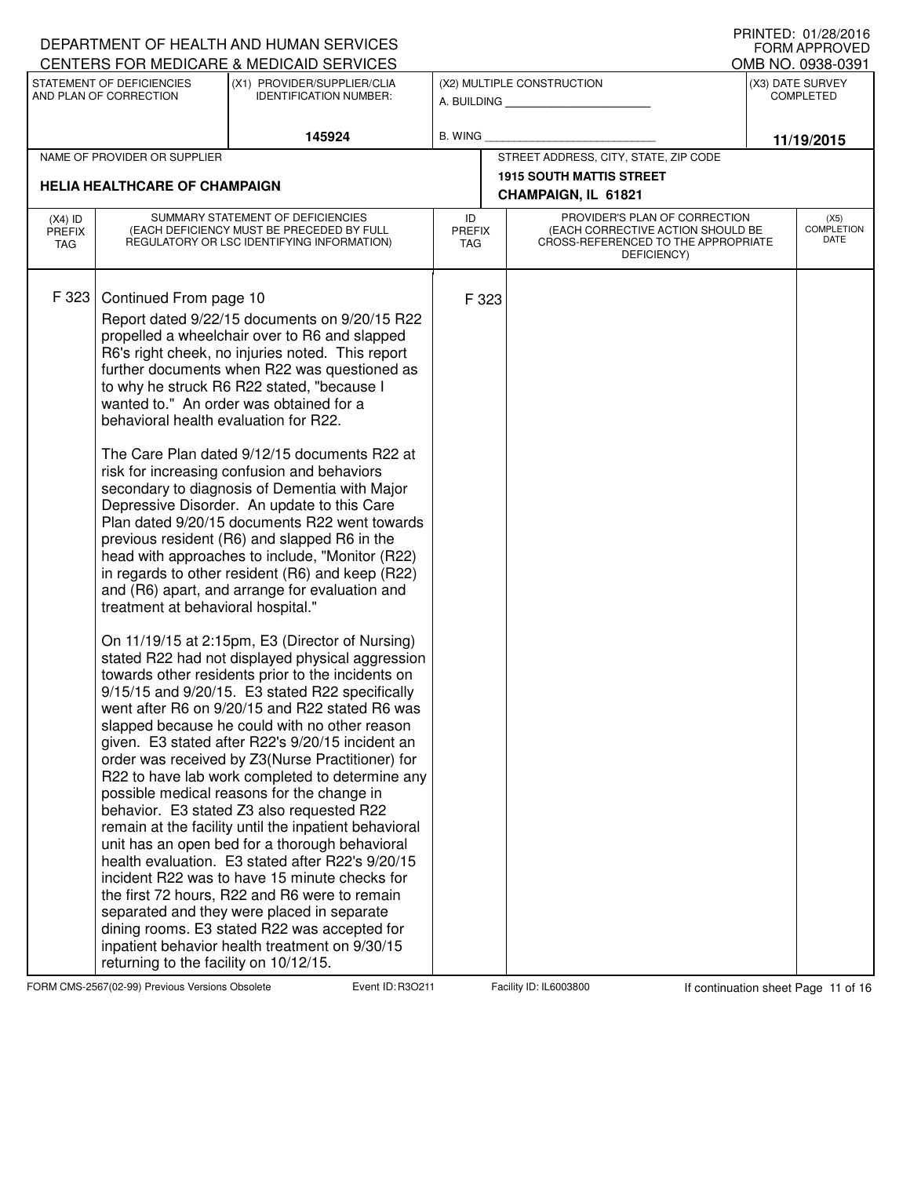|                                          |                                                                                                                                                 | DEPARTMENT OF HEALTH AND HUMAN SERVICES<br>CENTERS FOR MEDICARE & MEDICAID SERVICES                                                                                                                                                                                                                                                                                                                                                                                                                                                                                                                                                                                                                                                                                                                                                                                                                                                                                                                                                                                                                                                                                                                                                                                                                                                                                                                                                                                                                                                                                                                                                                                                                                                           |                                       |       |                                                                                                                          |  | I INIVILD. VI/LO/LVIV<br><b>FORM APPROVED</b><br>OMB NO. 0938-0391 |  |
|------------------------------------------|-------------------------------------------------------------------------------------------------------------------------------------------------|-----------------------------------------------------------------------------------------------------------------------------------------------------------------------------------------------------------------------------------------------------------------------------------------------------------------------------------------------------------------------------------------------------------------------------------------------------------------------------------------------------------------------------------------------------------------------------------------------------------------------------------------------------------------------------------------------------------------------------------------------------------------------------------------------------------------------------------------------------------------------------------------------------------------------------------------------------------------------------------------------------------------------------------------------------------------------------------------------------------------------------------------------------------------------------------------------------------------------------------------------------------------------------------------------------------------------------------------------------------------------------------------------------------------------------------------------------------------------------------------------------------------------------------------------------------------------------------------------------------------------------------------------------------------------------------------------------------------------------------------------|---------------------------------------|-------|--------------------------------------------------------------------------------------------------------------------------|--|--------------------------------------------------------------------|--|
|                                          | STATEMENT OF DEFICIENCIES<br>AND PLAN OF CORRECTION                                                                                             | (X1) PROVIDER/SUPPLIER/CLIA<br><b>IDENTIFICATION NUMBER:</b>                                                                                                                                                                                                                                                                                                                                                                                                                                                                                                                                                                                                                                                                                                                                                                                                                                                                                                                                                                                                                                                                                                                                                                                                                                                                                                                                                                                                                                                                                                                                                                                                                                                                                  |                                       |       | (X2) MULTIPLE CONSTRUCTION<br>A. BUILDING                                                                                |  | (X3) DATE SURVEY<br><b>COMPLETED</b>                               |  |
|                                          |                                                                                                                                                 | 145924                                                                                                                                                                                                                                                                                                                                                                                                                                                                                                                                                                                                                                                                                                                                                                                                                                                                                                                                                                                                                                                                                                                                                                                                                                                                                                                                                                                                                                                                                                                                                                                                                                                                                                                                        | B. WING                               |       |                                                                                                                          |  | 11/19/2015                                                         |  |
|                                          | NAME OF PROVIDER OR SUPPLIER                                                                                                                    |                                                                                                                                                                                                                                                                                                                                                                                                                                                                                                                                                                                                                                                                                                                                                                                                                                                                                                                                                                                                                                                                                                                                                                                                                                                                                                                                                                                                                                                                                                                                                                                                                                                                                                                                               | STREET ADDRESS, CITY, STATE, ZIP CODE |       |                                                                                                                          |  |                                                                    |  |
|                                          | <b>HELIA HEALTHCARE OF CHAMPAIGN</b>                                                                                                            |                                                                                                                                                                                                                                                                                                                                                                                                                                                                                                                                                                                                                                                                                                                                                                                                                                                                                                                                                                                                                                                                                                                                                                                                                                                                                                                                                                                                                                                                                                                                                                                                                                                                                                                                               |                                       |       | <b>1915 SOUTH MATTIS STREET</b>                                                                                          |  |                                                                    |  |
|                                          |                                                                                                                                                 |                                                                                                                                                                                                                                                                                                                                                                                                                                                                                                                                                                                                                                                                                                                                                                                                                                                                                                                                                                                                                                                                                                                                                                                                                                                                                                                                                                                                                                                                                                                                                                                                                                                                                                                                               |                                       |       | CHAMPAIGN, IL 61821                                                                                                      |  |                                                                    |  |
| $(X4)$ ID<br><b>PREFIX</b><br><b>TAG</b> |                                                                                                                                                 | SUMMARY STATEMENT OF DEFICIENCIES<br>(EACH DEFICIENCY MUST BE PRECEDED BY FULL<br>REGULATORY OR LSC IDENTIFYING INFORMATION)                                                                                                                                                                                                                                                                                                                                                                                                                                                                                                                                                                                                                                                                                                                                                                                                                                                                                                                                                                                                                                                                                                                                                                                                                                                                                                                                                                                                                                                                                                                                                                                                                  | ID<br><b>PREFIX</b><br><b>TAG</b>     |       | PROVIDER'S PLAN OF CORRECTION<br>(EACH CORRECTIVE ACTION SHOULD BE<br>CROSS-REFERENCED TO THE APPROPRIATE<br>DEFICIENCY) |  | (X5)<br><b>COMPLETION</b><br>DATE                                  |  |
| F 323                                    | Continued From page 10<br>behavioral health evaluation for R22.<br>treatment at behavioral hospital."<br>returning to the facility on 10/12/15. | Report dated 9/22/15 documents on 9/20/15 R22<br>propelled a wheelchair over to R6 and slapped<br>R6's right cheek, no injuries noted. This report<br>further documents when R22 was questioned as<br>to why he struck R6 R22 stated, "because I<br>wanted to." An order was obtained for a<br>The Care Plan dated 9/12/15 documents R22 at<br>risk for increasing confusion and behaviors<br>secondary to diagnosis of Dementia with Major<br>Depressive Disorder. An update to this Care<br>Plan dated 9/20/15 documents R22 went towards<br>previous resident (R6) and slapped R6 in the<br>head with approaches to include, "Monitor (R22)<br>in regards to other resident (R6) and keep (R22)<br>and (R6) apart, and arrange for evaluation and<br>On 11/19/15 at 2:15pm, E3 (Director of Nursing)<br>stated R22 had not displayed physical aggression<br>towards other residents prior to the incidents on<br>9/15/15 and 9/20/15. E3 stated R22 specifically<br>went after R6 on 9/20/15 and R22 stated R6 was<br>slapped because he could with no other reason<br>given. E3 stated after R22's 9/20/15 incident an<br>order was received by Z3(Nurse Practitioner) for<br>R22 to have lab work completed to determine any<br>possible medical reasons for the change in<br>behavior. E3 stated Z3 also requested R22<br>remain at the facility until the inpatient behavioral<br>unit has an open bed for a thorough behavioral<br>health evaluation. E3 stated after R22's 9/20/15<br>incident R22 was to have 15 minute checks for<br>the first 72 hours, R22 and R6 were to remain<br>separated and they were placed in separate<br>dining rooms. E3 stated R22 was accepted for<br>inpatient behavior health treatment on 9/30/15 |                                       | F 323 |                                                                                                                          |  |                                                                    |  |

FORM CMS-2567(02-99) Previous Versions Obsolete Event ID: R3O211 Facility ID: IL6003800 If continuation sheet Page 11 of 16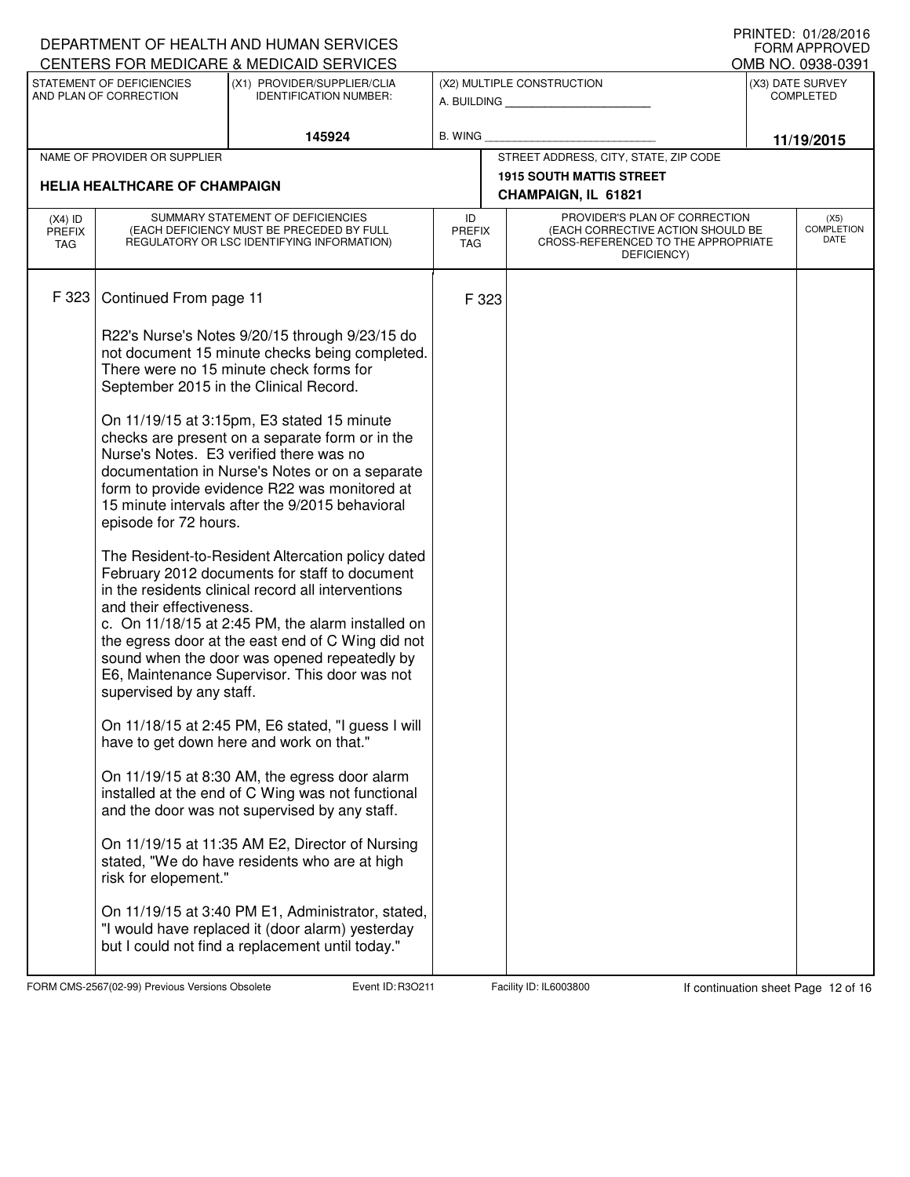|                      |                                      | DEPARTMENT OF HEALTH AND HUMAN SERVICES                                                       |                             |                                                                          | I INIVILD. VI/LO/LVIV<br><b>FORM APPROVED</b> |
|----------------------|--------------------------------------|-----------------------------------------------------------------------------------------------|-----------------------------|--------------------------------------------------------------------------|-----------------------------------------------|
|                      | STATEMENT OF DEFICIENCIES            | CENTERS FOR MEDICARE & MEDICAID SERVICES<br>(X1) PROVIDER/SUPPLIER/CLIA                       |                             | (X2) MULTIPLE CONSTRUCTION                                               | OMB NO. 0938-0391<br>(X3) DATE SURVEY         |
|                      | AND PLAN OF CORRECTION               | <b>IDENTIFICATION NUMBER:</b>                                                                 |                             | A. BUILDING                                                              | <b>COMPLETED</b>                              |
|                      |                                      |                                                                                               |                             |                                                                          |                                               |
|                      | NAME OF PROVIDER OR SUPPLIER         | 145924                                                                                        | <b>B. WING</b>              | STREET ADDRESS, CITY, STATE, ZIP CODE                                    | 11/19/2015                                    |
|                      |                                      |                                                                                               |                             | <b>1915 SOUTH MATTIS STREET</b>                                          |                                               |
|                      | <b>HELIA HEALTHCARE OF CHAMPAIGN</b> |                                                                                               |                             | CHAMPAIGN, IL 61821                                                      |                                               |
| $(X4)$ ID            |                                      | SUMMARY STATEMENT OF DEFICIENCIES                                                             | ID                          | PROVIDER'S PLAN OF CORRECTION                                            | (X5)                                          |
| <b>PREFIX</b><br>TAG |                                      | (EACH DEFICIENCY MUST BE PRECEDED BY FULL<br>REGULATORY OR LSC IDENTIFYING INFORMATION)       | <b>PREFIX</b><br><b>TAG</b> | (EACH CORRECTIVE ACTION SHOULD BE<br>CROSS-REFERENCED TO THE APPROPRIATE | <b>COMPLETION</b><br>DATE                     |
|                      |                                      |                                                                                               |                             | DEFICIENCY)                                                              |                                               |
| F 323                |                                      |                                                                                               |                             |                                                                          |                                               |
|                      | Continued From page 11               |                                                                                               | F 323                       |                                                                          |                                               |
|                      |                                      | R22's Nurse's Notes 9/20/15 through 9/23/15 do                                                |                             |                                                                          |                                               |
|                      |                                      | not document 15 minute checks being completed.                                                |                             |                                                                          |                                               |
|                      |                                      | There were no 15 minute check forms for                                                       |                             |                                                                          |                                               |
|                      |                                      | September 2015 in the Clinical Record.                                                        |                             |                                                                          |                                               |
|                      |                                      | On 11/19/15 at 3:15pm, E3 stated 15 minute                                                    |                             |                                                                          |                                               |
|                      |                                      | checks are present on a separate form or in the                                               |                             |                                                                          |                                               |
|                      |                                      | Nurse's Notes. E3 verified there was no<br>documentation in Nurse's Notes or on a separate    |                             |                                                                          |                                               |
|                      |                                      | form to provide evidence R22 was monitored at                                                 |                             |                                                                          |                                               |
|                      |                                      | 15 minute intervals after the 9/2015 behavioral                                               |                             |                                                                          |                                               |
|                      | episode for 72 hours.                |                                                                                               |                             |                                                                          |                                               |
|                      |                                      | The Resident-to-Resident Altercation policy dated                                             |                             |                                                                          |                                               |
|                      |                                      | February 2012 documents for staff to document                                                 |                             |                                                                          |                                               |
|                      | and their effectiveness.             | in the residents clinical record all interventions                                            |                             |                                                                          |                                               |
|                      |                                      | c. On 11/18/15 at 2:45 PM, the alarm installed on                                             |                             |                                                                          |                                               |
|                      |                                      | the egress door at the east end of C Wing did not                                             |                             |                                                                          |                                               |
|                      |                                      | sound when the door was opened repeatedly by<br>E6, Maintenance Supervisor. This door was not |                             |                                                                          |                                               |
|                      | supervised by any staff.             |                                                                                               |                             |                                                                          |                                               |
|                      |                                      | On 11/18/15 at 2:45 PM, E6 stated, "I guess I will                                            |                             |                                                                          |                                               |
|                      |                                      | have to get down here and work on that."                                                      |                             |                                                                          |                                               |
|                      |                                      | On 11/19/15 at 8:30 AM, the egress door alarm                                                 |                             |                                                                          |                                               |
|                      |                                      | installed at the end of C Wing was not functional                                             |                             |                                                                          |                                               |
|                      |                                      | and the door was not supervised by any staff.                                                 |                             |                                                                          |                                               |
|                      |                                      | On 11/19/15 at 11:35 AM E2, Director of Nursing                                               |                             |                                                                          |                                               |
|                      |                                      | stated, "We do have residents who are at high                                                 |                             |                                                                          |                                               |
|                      | risk for elopement."                 |                                                                                               |                             |                                                                          |                                               |
|                      |                                      | On 11/19/15 at 3:40 PM E1, Administrator, stated,                                             |                             |                                                                          |                                               |
|                      |                                      | "I would have replaced it (door alarm) yesterday                                              |                             |                                                                          |                                               |
|                      |                                      | but I could not find a replacement until today."                                              |                             |                                                                          |                                               |
|                      |                                      |                                                                                               |                             |                                                                          |                                               |

FORM CMS-2567(02-99) Previous Versions Obsolete **Rand Event ID: R3O211** Facility ID: IL6003800 If continuation sheet Page 12 of 16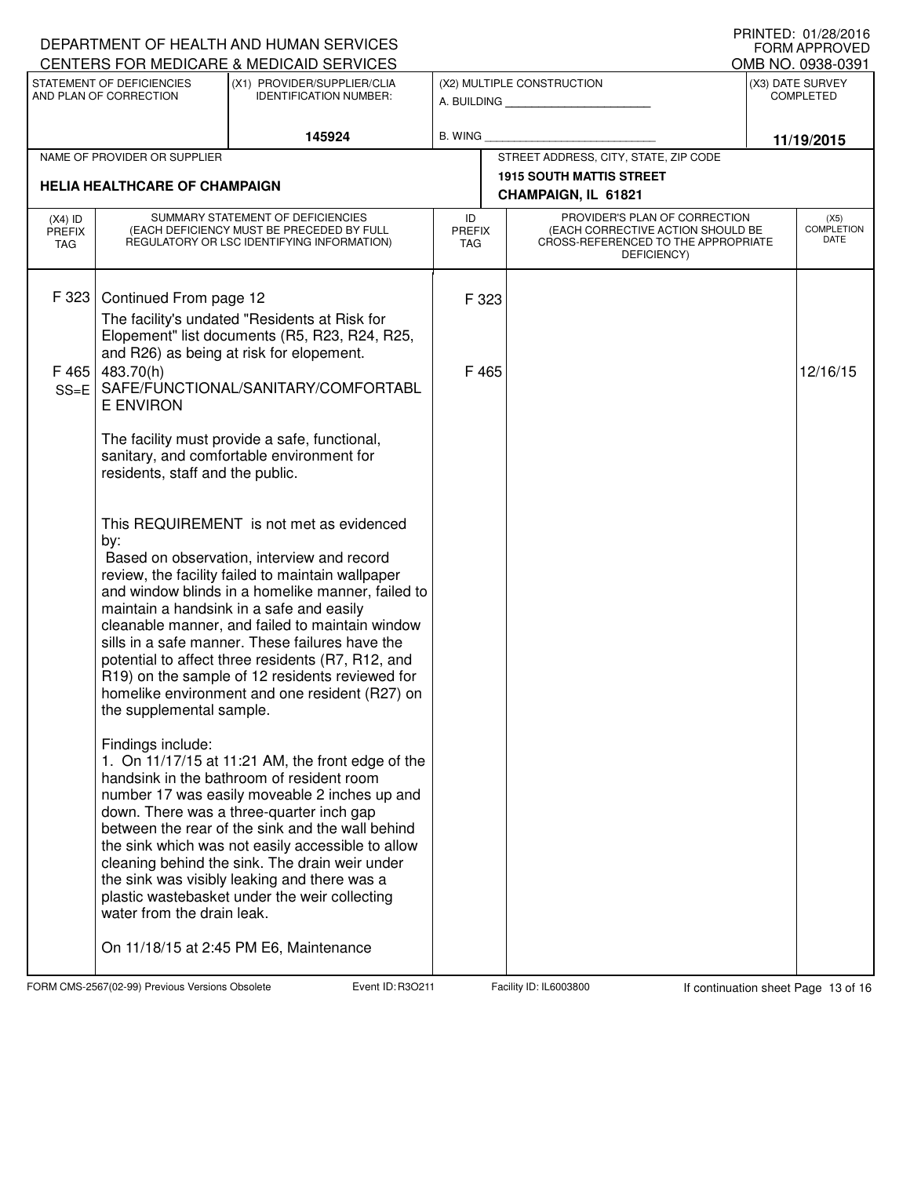|                                                                                                                     |                                                                                                                              | DEPARTMENT OF HEALTH AND HUMAN SERVICES                                                                                                                                                                                                                                                                                                                                                                                                                                                                      |         |                                                                                                                                                  |                                                        |  | <b>FORM APPROVED</b>              |
|---------------------------------------------------------------------------------------------------------------------|------------------------------------------------------------------------------------------------------------------------------|--------------------------------------------------------------------------------------------------------------------------------------------------------------------------------------------------------------------------------------------------------------------------------------------------------------------------------------------------------------------------------------------------------------------------------------------------------------------------------------------------------------|---------|--------------------------------------------------------------------------------------------------------------------------------------------------|--------------------------------------------------------|--|-----------------------------------|
| CENTERS FOR MEDICARE & MEDICAID SERVICES                                                                            |                                                                                                                              |                                                                                                                                                                                                                                                                                                                                                                                                                                                                                                              |         |                                                                                                                                                  | OMB NO. 0938-0391                                      |  |                                   |
| STATEMENT OF DEFICIENCIES<br>(X1) PROVIDER/SUPPLIER/CLIA<br>AND PLAN OF CORRECTION<br><b>IDENTIFICATION NUMBER:</b> |                                                                                                                              |                                                                                                                                                                                                                                                                                                                                                                                                                                                                                                              |         | (X2) MULTIPLE CONSTRUCTION<br>A. BUILDING AND AN INCOME.                                                                                         | (X3) DATE SURVEY<br><b>COMPLETED</b>                   |  |                                   |
|                                                                                                                     |                                                                                                                              | 145924                                                                                                                                                                                                                                                                                                                                                                                                                                                                                                       | B. WING |                                                                                                                                                  |                                                        |  | 11/19/2015                        |
|                                                                                                                     | NAME OF PROVIDER OR SUPPLIER                                                                                                 |                                                                                                                                                                                                                                                                                                                                                                                                                                                                                                              |         |                                                                                                                                                  | STREET ADDRESS, CITY, STATE, ZIP CODE                  |  |                                   |
| <b>HELIA HEALTHCARE OF CHAMPAIGN</b>                                                                                |                                                                                                                              |                                                                                                                                                                                                                                                                                                                                                                                                                                                                                                              |         |                                                                                                                                                  | <b>1915 SOUTH MATTIS STREET</b><br>CHAMPAIGN, IL 61821 |  |                                   |
| $(X4)$ ID<br><b>PREFIX</b><br>TAG                                                                                   | SUMMARY STATEMENT OF DEFICIENCIES<br>(EACH DEFICIENCY MUST BE PRECEDED BY FULL<br>REGULATORY OR LSC IDENTIFYING INFORMATION) |                                                                                                                                                                                                                                                                                                                                                                                                                                                                                                              | ID      | PROVIDER'S PLAN OF CORRECTION<br>(EACH CORRECTIVE ACTION SHOULD BE<br><b>PREFIX</b><br>CROSS-REFERENCED TO THE APPROPRIATE<br>TAG<br>DEFICIENCY) |                                                        |  | (X5)<br><b>COMPLETION</b><br>DATE |
| F 323<br>F465<br>$SS = E$                                                                                           | Continued From page 12<br>483.70(h)<br><b>E ENVIRON</b>                                                                      | The facility's undated "Residents at Risk for<br>Elopement" list documents (R5, R23, R24, R25,<br>and R26) as being at risk for elopement.<br>SAFE/FUNCTIONAL/SANITARY/COMFORTABL                                                                                                                                                                                                                                                                                                                            |         | F 323<br>F 465                                                                                                                                   |                                                        |  | 12/16/15                          |
|                                                                                                                     | residents, staff and the public.                                                                                             | The facility must provide a safe, functional,<br>sanitary, and comfortable environment for                                                                                                                                                                                                                                                                                                                                                                                                                   |         |                                                                                                                                                  |                                                        |  |                                   |
|                                                                                                                     | by:<br>the supplemental sample.                                                                                              | This REQUIREMENT is not met as evidenced<br>Based on observation, interview and record<br>review, the facility failed to maintain wallpaper<br>and window blinds in a homelike manner, failed to<br>maintain a handsink in a safe and easily<br>cleanable manner, and failed to maintain window<br>sills in a safe manner. These failures have the<br>potential to affect three residents (R7, R12, and<br>R19) on the sample of 12 residents reviewed for<br>homelike environment and one resident (R27) on |         |                                                                                                                                                  |                                                        |  |                                   |
|                                                                                                                     | Findings include:<br>water from the drain leak.                                                                              | 1. On 11/17/15 at 11:21 AM, the front edge of the<br>handsink in the bathroom of resident room<br>number 17 was easily moveable 2 inches up and<br>down. There was a three-quarter inch gap<br>between the rear of the sink and the wall behind<br>the sink which was not easily accessible to allow<br>cleaning behind the sink. The drain weir under<br>the sink was visibly leaking and there was a<br>plastic wastebasket under the weir collecting<br>On 11/18/15 at 2:45 PM E6, Maintenance            |         |                                                                                                                                                  |                                                        |  |                                   |
|                                                                                                                     |                                                                                                                              |                                                                                                                                                                                                                                                                                                                                                                                                                                                                                                              |         |                                                                                                                                                  |                                                        |  |                                   |

FORM CMS-2567(02-99) Previous Versions Obsolete Event ID: R3O211 Facility ID: IL6003800 If continuation sheet Page 13 of 16

DEPARTMENT OF HEALTH AND HUMAN SERVICES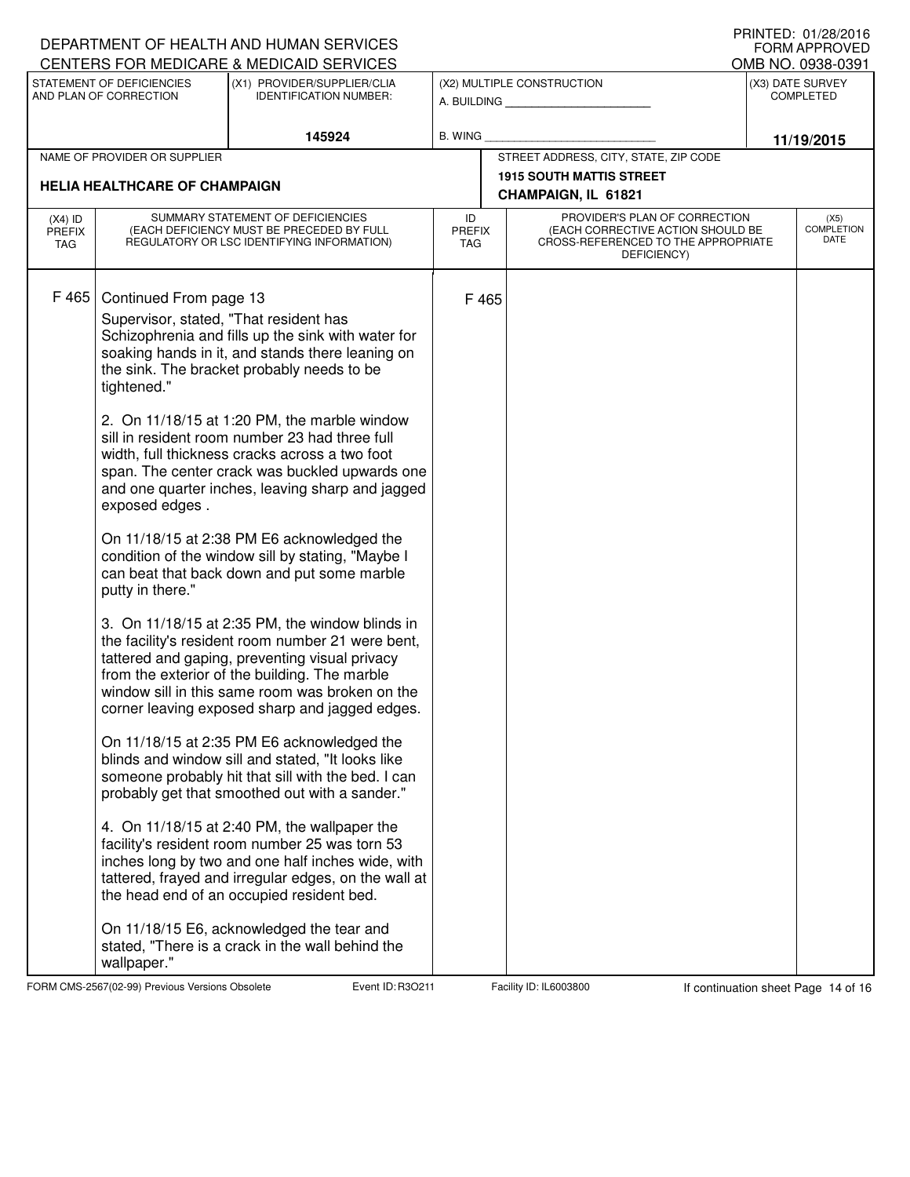|                                                                                                      |                                                                                                                              | DEPARTMENT OF HEALTH AND HUMAN SERVICES                                                                                                                                                                                                                                                                                                                                                                                                                                                                                                                                                                                                                                                                                                                                                                                                                                                                                                                                                                                                                                                                                                                                                                                                                                                                                                                                                                                                                  |                                   |                                                 |                                                                                                                          |                                      | I INIVILD. VI/LU/LVIV<br><b>FORM APPROVED</b> |  |  |  |
|------------------------------------------------------------------------------------------------------|------------------------------------------------------------------------------------------------------------------------------|----------------------------------------------------------------------------------------------------------------------------------------------------------------------------------------------------------------------------------------------------------------------------------------------------------------------------------------------------------------------------------------------------------------------------------------------------------------------------------------------------------------------------------------------------------------------------------------------------------------------------------------------------------------------------------------------------------------------------------------------------------------------------------------------------------------------------------------------------------------------------------------------------------------------------------------------------------------------------------------------------------------------------------------------------------------------------------------------------------------------------------------------------------------------------------------------------------------------------------------------------------------------------------------------------------------------------------------------------------------------------------------------------------------------------------------------------------|-----------------------------------|-------------------------------------------------|--------------------------------------------------------------------------------------------------------------------------|--------------------------------------|-----------------------------------------------|--|--|--|
| CENTERS FOR MEDICARE & MEDICAID SERVICES<br>STATEMENT OF DEFICIENCIES<br>(X1) PROVIDER/SUPPLIER/CLIA |                                                                                                                              |                                                                                                                                                                                                                                                                                                                                                                                                                                                                                                                                                                                                                                                                                                                                                                                                                                                                                                                                                                                                                                                                                                                                                                                                                                                                                                                                                                                                                                                          |                                   | OMB NO. 0938-0391<br>(X2) MULTIPLE CONSTRUCTION |                                                                                                                          |                                      |                                               |  |  |  |
| AND PLAN OF CORRECTION                                                                               |                                                                                                                              | <b>IDENTIFICATION NUMBER:</b>                                                                                                                                                                                                                                                                                                                                                                                                                                                                                                                                                                                                                                                                                                                                                                                                                                                                                                                                                                                                                                                                                                                                                                                                                                                                                                                                                                                                                            |                                   | A. BUILDING                                     |                                                                                                                          | (X3) DATE SURVEY<br><b>COMPLETED</b> |                                               |  |  |  |
|                                                                                                      |                                                                                                                              | 145924                                                                                                                                                                                                                                                                                                                                                                                                                                                                                                                                                                                                                                                                                                                                                                                                                                                                                                                                                                                                                                                                                                                                                                                                                                                                                                                                                                                                                                                   | <b>B. WING</b>                    |                                                 |                                                                                                                          |                                      |                                               |  |  |  |
| NAME OF PROVIDER OR SUPPLIER                                                                         |                                                                                                                              |                                                                                                                                                                                                                                                                                                                                                                                                                                                                                                                                                                                                                                                                                                                                                                                                                                                                                                                                                                                                                                                                                                                                                                                                                                                                                                                                                                                                                                                          |                                   | STREET ADDRESS, CITY, STATE, ZIP CODE           | 11/19/2015                                                                                                               |                                      |                                               |  |  |  |
|                                                                                                      |                                                                                                                              |                                                                                                                                                                                                                                                                                                                                                                                                                                                                                                                                                                                                                                                                                                                                                                                                                                                                                                                                                                                                                                                                                                                                                                                                                                                                                                                                                                                                                                                          |                                   | <b>1915 SOUTH MATTIS STREET</b>                 |                                                                                                                          |                                      |                                               |  |  |  |
|                                                                                                      | <b>HELIA HEALTHCARE OF CHAMPAIGN</b>                                                                                         |                                                                                                                                                                                                                                                                                                                                                                                                                                                                                                                                                                                                                                                                                                                                                                                                                                                                                                                                                                                                                                                                                                                                                                                                                                                                                                                                                                                                                                                          |                                   | CHAMPAIGN, IL 61821                             |                                                                                                                          |                                      |                                               |  |  |  |
| $(X4)$ ID<br><b>PREFIX</b><br><b>TAG</b>                                                             | SUMMARY STATEMENT OF DEFICIENCIES<br>(EACH DEFICIENCY MUST BE PRECEDED BY FULL<br>REGULATORY OR LSC IDENTIFYING INFORMATION) |                                                                                                                                                                                                                                                                                                                                                                                                                                                                                                                                                                                                                                                                                                                                                                                                                                                                                                                                                                                                                                                                                                                                                                                                                                                                                                                                                                                                                                                          | ID<br><b>PREFIX</b><br><b>TAG</b> |                                                 | PROVIDER'S PLAN OF CORRECTION<br>(EACH CORRECTIVE ACTION SHOULD BE<br>CROSS-REFERENCED TO THE APPROPRIATE<br>DEFICIENCY) |                                      | (X5)<br><b>COMPLETION</b><br>DATE             |  |  |  |
| F 465                                                                                                | Continued From page 13<br>Supervisor, stated, "That resident has<br>tightened."<br>exposed edges.<br>putty in there."        | Schizophrenia and fills up the sink with water for<br>soaking hands in it, and stands there leaning on<br>the sink. The bracket probably needs to be<br>2. On 11/18/15 at 1:20 PM, the marble window<br>sill in resident room number 23 had three full<br>width, full thickness cracks across a two foot<br>span. The center crack was buckled upwards one<br>and one quarter inches, leaving sharp and jagged<br>On 11/18/15 at 2:38 PM E6 acknowledged the<br>condition of the window sill by stating, "Maybe I<br>can beat that back down and put some marble<br>3. On 11/18/15 at 2:35 PM, the window blinds in<br>the facility's resident room number 21 were bent,<br>tattered and gaping, preventing visual privacy<br>from the exterior of the building. The marble<br>window sill in this same room was broken on the<br>corner leaving exposed sharp and jagged edges.<br>On 11/18/15 at 2:35 PM E6 acknowledged the<br>blinds and window sill and stated, "It looks like<br>someone probably hit that sill with the bed. I can<br>probably get that smoothed out with a sander."<br>4. On 11/18/15 at 2:40 PM, the wallpaper the<br>facility's resident room number 25 was torn 53<br>inches long by two and one half inches wide, with<br>tattered, frayed and irregular edges, on the wall at<br>the head end of an occupied resident bed.<br>On 11/18/15 E6, acknowledged the tear and<br>stated, "There is a crack in the wall behind the |                                   | F 465                                           |                                                                                                                          |                                      |                                               |  |  |  |
|                                                                                                      | wallpaper."                                                                                                                  |                                                                                                                                                                                                                                                                                                                                                                                                                                                                                                                                                                                                                                                                                                                                                                                                                                                                                                                                                                                                                                                                                                                                                                                                                                                                                                                                                                                                                                                          |                                   |                                                 |                                                                                                                          |                                      |                                               |  |  |  |

FORM CMS-2567(02-99) Previous Versions Obsolete Event ID: R3O211 Facility ID: IL6003800 If continuation sheet Page 14 of 16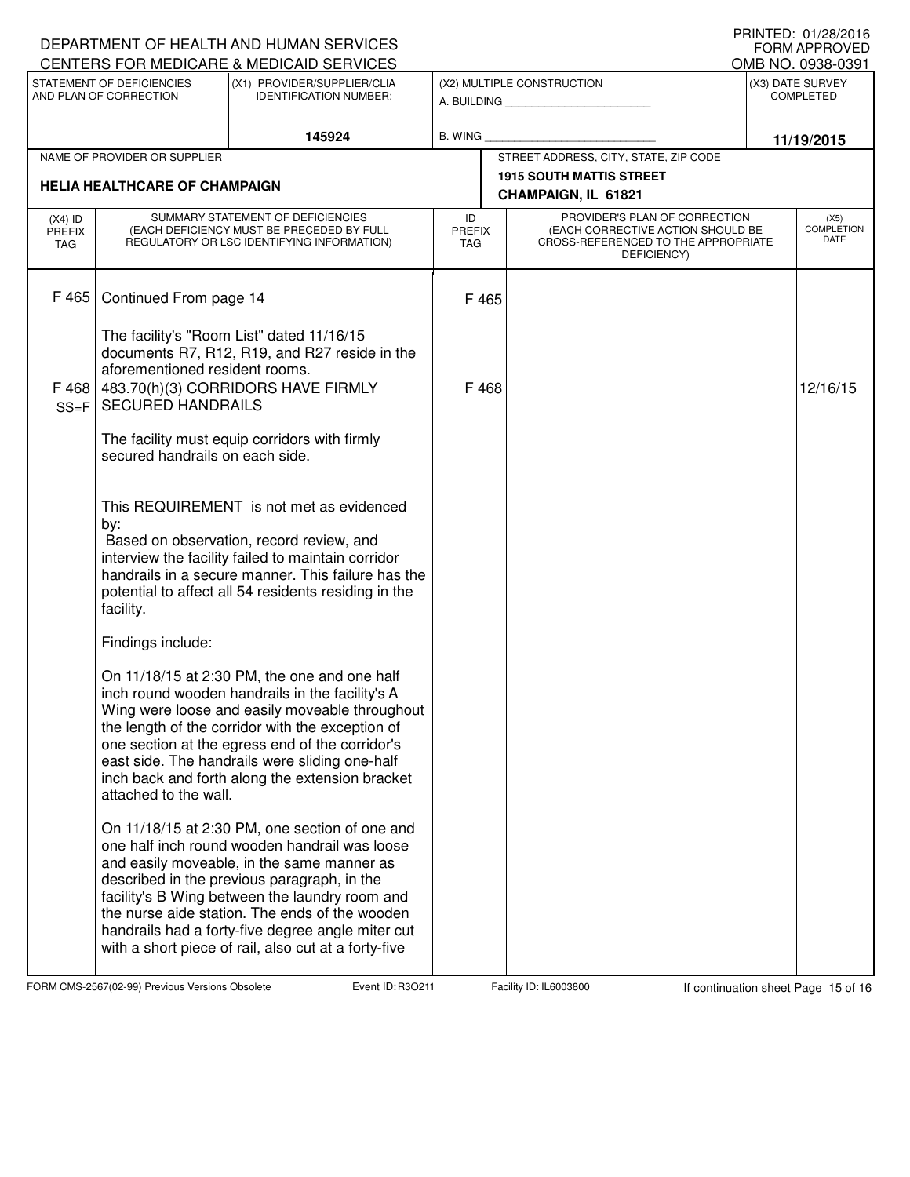| DEPARTMENT OF HEALTH AND HUMAN SERVICES<br>CENTERS FOR MEDICARE & MEDICAID SERVICES |                                                                                                                              | FRIIVIEU. VI/ZO/ZVIO<br><b>FORM APPROVED</b><br>OMB NO. 0938-0391                                                                                                                                                                                                                                                                                                                                             |                                                          |                |                                                        |                                                                                                                                        |          |  |
|-------------------------------------------------------------------------------------|------------------------------------------------------------------------------------------------------------------------------|---------------------------------------------------------------------------------------------------------------------------------------------------------------------------------------------------------------------------------------------------------------------------------------------------------------------------------------------------------------------------------------------------------------|----------------------------------------------------------|----------------|--------------------------------------------------------|----------------------------------------------------------------------------------------------------------------------------------------|----------|--|
| STATEMENT OF DEFICIENCIES<br>AND PLAN OF CORRECTION                                 |                                                                                                                              | (X1) PROVIDER/SUPPLIER/CLIA<br><b>IDENTIFICATION NUMBER:</b>                                                                                                                                                                                                                                                                                                                                                  | (X2) MULTIPLE CONSTRUCTION<br>A. BUILDING AND AN INCOME. |                | (X3) DATE SURVEY<br><b>COMPLETED</b>                   |                                                                                                                                        |          |  |
|                                                                                     |                                                                                                                              | 145924                                                                                                                                                                                                                                                                                                                                                                                                        |                                                          | <b>B. WING</b> |                                                        | 11/19/2015                                                                                                                             |          |  |
| NAME OF PROVIDER OR SUPPLIER                                                        |                                                                                                                              |                                                                                                                                                                                                                                                                                                                                                                                                               |                                                          |                | STREET ADDRESS, CITY, STATE, ZIP CODE                  |                                                                                                                                        |          |  |
|                                                                                     | <b>HELIA HEALTHCARE OF CHAMPAIGN</b>                                                                                         |                                                                                                                                                                                                                                                                                                                                                                                                               |                                                          |                | <b>1915 SOUTH MATTIS STREET</b><br>CHAMPAIGN, IL 61821 |                                                                                                                                        |          |  |
| $(X4)$ ID<br><b>PREFIX</b><br>TAG                                                   | SUMMARY STATEMENT OF DEFICIENCIES<br>(EACH DEFICIENCY MUST BE PRECEDED BY FULL<br>REGULATORY OR LSC IDENTIFYING INFORMATION) |                                                                                                                                                                                                                                                                                                                                                                                                               | ID<br><b>PREFIX</b><br>TAG                               |                | DEFICIENCY)                                            | PROVIDER'S PLAN OF CORRECTION<br><b>COMPLETION</b><br>(EACH CORRECTIVE ACTION SHOULD BE<br>DATE<br>CROSS-REFERENCED TO THE APPROPRIATE |          |  |
| F465                                                                                | Continued From page 14                                                                                                       |                                                                                                                                                                                                                                                                                                                                                                                                               |                                                          | F 465          |                                                        |                                                                                                                                        |          |  |
| F 468<br>$SS = F$                                                                   | aforementioned resident rooms.<br><b>SECURED HANDRAILS</b>                                                                   | The facility's "Room List" dated 11/16/15<br>documents R7, R12, R19, and R27 reside in the<br>483.70(h)(3) CORRIDORS HAVE FIRMLY                                                                                                                                                                                                                                                                              | F468                                                     |                |                                                        |                                                                                                                                        | 12/16/15 |  |
|                                                                                     | secured handrails on each side.                                                                                              | The facility must equip corridors with firmly                                                                                                                                                                                                                                                                                                                                                                 |                                                          |                |                                                        |                                                                                                                                        |          |  |
|                                                                                     | by:<br>facility.                                                                                                             | This REQUIREMENT is not met as evidenced<br>Based on observation, record review, and<br>interview the facility failed to maintain corridor<br>handrails in a secure manner. This failure has the<br>potential to affect all 54 residents residing in the                                                                                                                                                      |                                                          |                |                                                        |                                                                                                                                        |          |  |
|                                                                                     | Findings include:                                                                                                            |                                                                                                                                                                                                                                                                                                                                                                                                               |                                                          |                |                                                        |                                                                                                                                        |          |  |
|                                                                                     | attached to the wall.                                                                                                        | On 11/18/15 at 2:30 PM, the one and one half<br>inch round wooden handrails in the facility's A<br>Wing were loose and easily moveable throughout<br>the length of the corridor with the exception of<br>one section at the egress end of the corridor's<br>east side. The handrails were sliding one-half<br>inch back and forth along the extension bracket                                                 |                                                          |                |                                                        |                                                                                                                                        |          |  |
|                                                                                     |                                                                                                                              | On 11/18/15 at 2:30 PM, one section of one and<br>one half inch round wooden handrail was loose<br>and easily moveable, in the same manner as<br>described in the previous paragraph, in the<br>facility's B Wing between the laundry room and<br>the nurse aide station. The ends of the wooden<br>handrails had a forty-five degree angle miter cut<br>with a short piece of rail, also cut at a forty-five |                                                          |                |                                                        |                                                                                                                                        |          |  |

FORM CMS-2567(02-99) Previous Versions Obsolete **Ray Event ID: R3O211** Facility ID: IL6003800 If continuation sheet Page 15 of 16